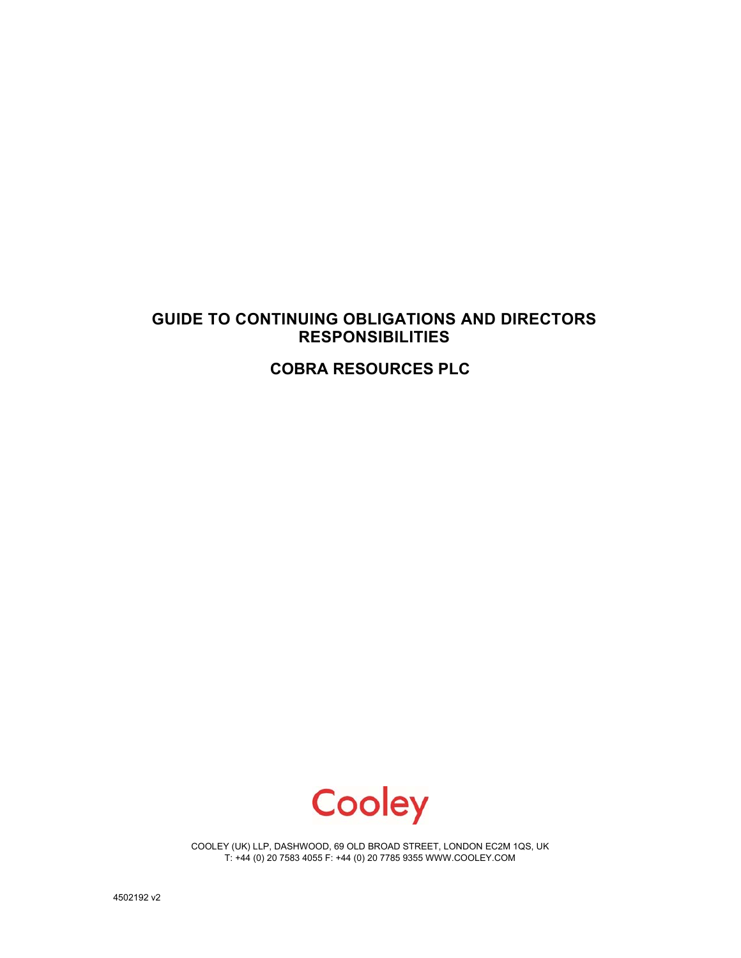# **GUIDE TO CONTINUING OBLIGATIONS AND DIRECTORS RESPONSIBILITIES**

**COBRA RESOURCES PLC**



COOLEY (UK) LLP, DASHWOOD, 69 OLD BROAD STREET, LONDON EC2M 1QS, UK T: +44 (0) 20 7583 4055 F: +44 (0) 20 7785 9355 WWW.COOLEY.COM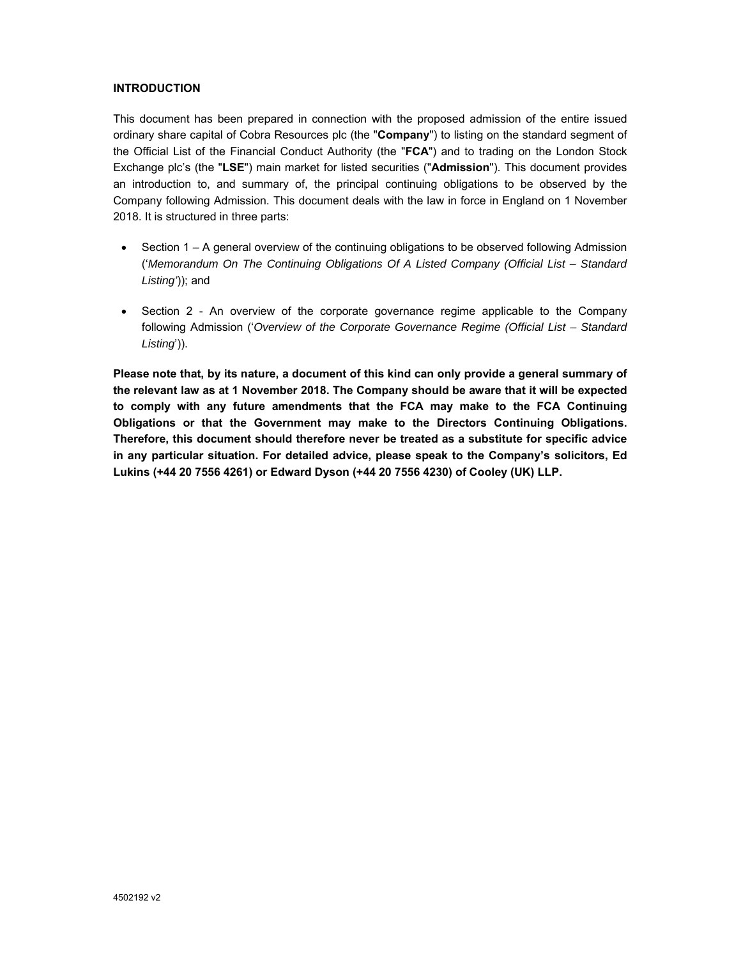# **INTRODUCTION**

This document has been prepared in connection with the proposed admission of the entire issued ordinary share capital of Cobra Resources plc (the "**Company**") to listing on the standard segment of the Official List of the Financial Conduct Authority (the "**FCA**") and to trading on the London Stock Exchange plc's (the "**LSE**") main market for listed securities ("**Admission**"). This document provides an introduction to, and summary of, the principal continuing obligations to be observed by the Company following Admission. This document deals with the law in force in England on 1 November 2018. It is structured in three parts:

- Section 1 A general overview of the continuing obligations to be observed following Admission ('*Memorandum On The Continuing Obligations Of A Listed Company (Official List – Standard Listing'*)); and
- Section 2 An overview of the corporate governance regime applicable to the Company following Admission ('*Overview of the Corporate Governance Regime (Official List – Standard Listing*')).

**Please note that, by its nature, a document of this kind can only provide a general summary of the relevant law as at 1 November 2018. The Company should be aware that it will be expected to comply with any future amendments that the FCA may make to the FCA Continuing Obligations or that the Government may make to the Directors Continuing Obligations. Therefore, this document should therefore never be treated as a substitute for specific advice in any particular situation. For detailed advice, please speak to the Company's solicitors, Ed Lukins (+44 20 7556 4261) or Edward Dyson (+44 20 7556 4230) of Cooley (UK) LLP.**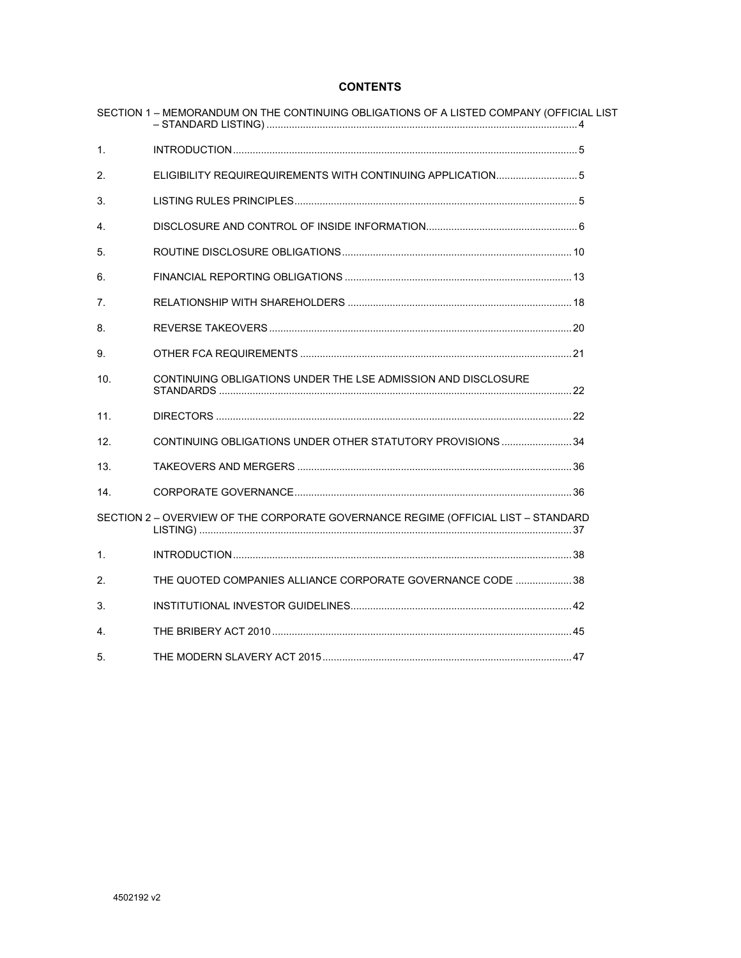# **CONTENTS**

|                | SECTION 1 - MEMORANDUM ON THE CONTINUING OBLIGATIONS OF A LISTED COMPANY (OFFICIAL LIST |  |
|----------------|-----------------------------------------------------------------------------------------|--|
| $\mathbf{1}$ . |                                                                                         |  |
| 2.             | ELIGIBILITY REQUIREQUIREMENTS WITH CONTINUING APPLICATION5                              |  |
| 3.             |                                                                                         |  |
| 4.             |                                                                                         |  |
| 5.             |                                                                                         |  |
| 6.             |                                                                                         |  |
| 7.             |                                                                                         |  |
| 8.             |                                                                                         |  |
| 9.             |                                                                                         |  |
| 10.            | CONTINUING OBLIGATIONS UNDER THE LSE ADMISSION AND DISCLOSURE                           |  |
| 11.            |                                                                                         |  |
| 12.            | CONTINUING OBLIGATIONS UNDER OTHER STATUTORY PROVISIONS  34                             |  |
| 13.            |                                                                                         |  |
| 14.            |                                                                                         |  |
|                | SECTION 2 - OVERVIEW OF THE CORPORATE GOVERNANCE REGIME (OFFICIAL LIST - STANDARD       |  |
| 1.             |                                                                                         |  |
| 2.             | THE QUOTED COMPANIES ALLIANCE CORPORATE GOVERNANCE CODE  38                             |  |
| 3.             |                                                                                         |  |
| $\overline{4}$ |                                                                                         |  |
| 5.             |                                                                                         |  |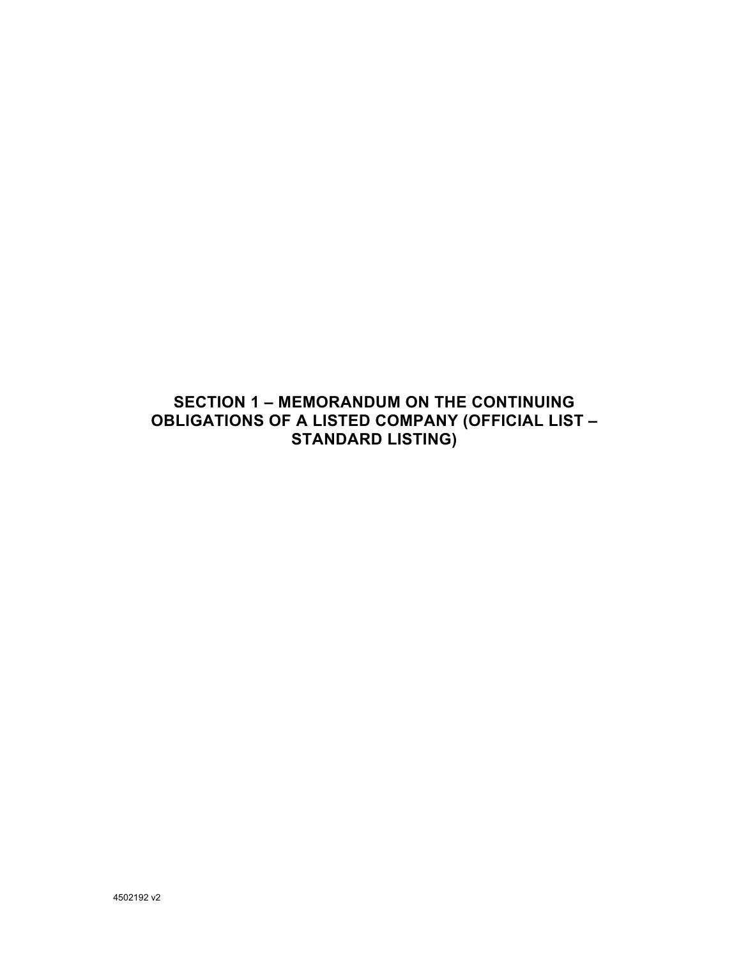**SECTION 1 – MEMORANDUM ON THE CONTINUING OBLIGATIONS OF A LISTED COMPANY (OFFICIAL LIST – STANDARD LISTING)**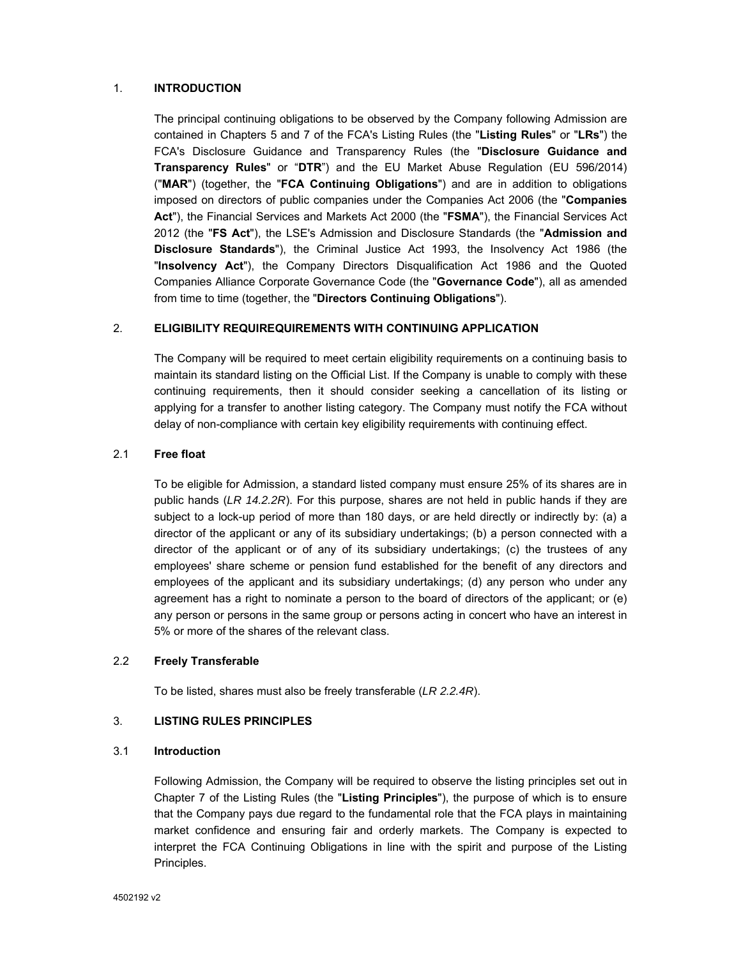# 1. **INTRODUCTION**

The principal continuing obligations to be observed by the Company following Admission are contained in Chapters 5 and 7 of the FCA's Listing Rules (the "**Listing Rules**" or "**LRs**") the FCA's Disclosure Guidance and Transparency Rules (the "**Disclosure Guidance and Transparency Rules**" or "**DTR**") and the EU Market Abuse Regulation (EU 596/2014) ("**MAR**") (together, the "**FCA Continuing Obligations**") and are in addition to obligations imposed on directors of public companies under the Companies Act 2006 (the "**Companies Act**"), the Financial Services and Markets Act 2000 (the "**FSMA**"), the Financial Services Act 2012 (the "**FS Act**"), the LSE's Admission and Disclosure Standards (the "**Admission and Disclosure Standards**"), the Criminal Justice Act 1993, the Insolvency Act 1986 (the "**Insolvency Act**"), the Company Directors Disqualification Act 1986 and the Quoted Companies Alliance Corporate Governance Code (the "**Governance Code**"), all as amended from time to time (together, the "**Directors Continuing Obligations**").

# 2. **ELIGIBILITY REQUIREQUIREMENTS WITH CONTINUING APPLICATION**

The Company will be required to meet certain eligibility requirements on a continuing basis to maintain its standard listing on the Official List. If the Company is unable to comply with these continuing requirements, then it should consider seeking a cancellation of its listing or applying for a transfer to another listing category. The Company must notify the FCA without delay of non-compliance with certain key eligibility requirements with continuing effect.

#### 2.1 **Free float**

To be eligible for Admission, a standard listed company must ensure 25% of its shares are in public hands (*LR 14.2.2R*). For this purpose, shares are not held in public hands if they are subject to a lock-up period of more than 180 days, or are held directly or indirectly by: (a) a director of the applicant or any of its subsidiary undertakings; (b) a person connected with a director of the applicant or of any of its subsidiary undertakings; (c) the trustees of any employees' share scheme or pension fund established for the benefit of any directors and employees of the applicant and its subsidiary undertakings; (d) any person who under any agreement has a right to nominate a person to the board of directors of the applicant; or (e) any person or persons in the same group or persons acting in concert who have an interest in 5% or more of the shares of the relevant class.

#### 2.2 **Freely Transferable**

To be listed, shares must also be freely transferable (*LR 2.2.4R*).

## 3. **LISTING RULES PRINCIPLES**

# 3.1 **Introduction**

Following Admission, the Company will be required to observe the listing principles set out in Chapter 7 of the Listing Rules (the "**Listing Principles**"), the purpose of which is to ensure that the Company pays due regard to the fundamental role that the FCA plays in maintaining market confidence and ensuring fair and orderly markets. The Company is expected to interpret the FCA Continuing Obligations in line with the spirit and purpose of the Listing Principles.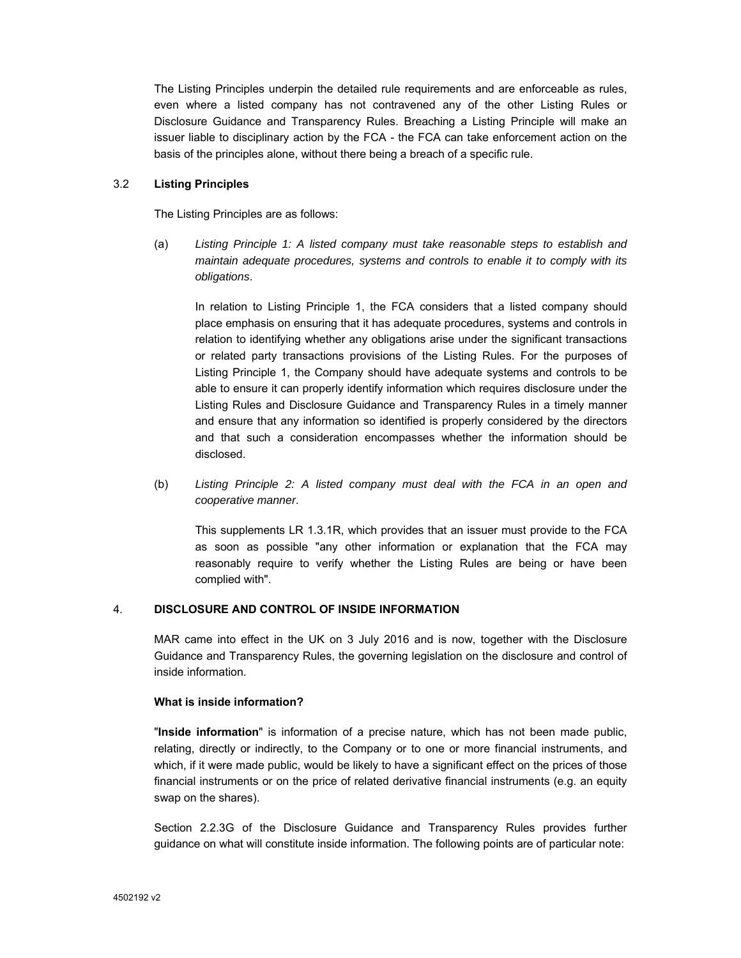The Listing Principles underpin the detailed rule requirements and are enforceable as rules, even where a listed company has not contravened any of the other Listing Rules or Disclosure Guidance and Transparency Rules. Breaching a Listing Principle will make an issuer liable to disciplinary action by the FCA - the FCA can take enforcement action on the basis of the principles alone, without there being a breach of a specific rule.

# 3.2 **Listing Principles**

The Listing Principles are as follows:

(a) *Listing Principle 1: A listed company must take reasonable steps to establish and maintain adequate procedures, systems and controls to enable it to comply with its obligations*.

In relation to Listing Principle 1, the FCA considers that a listed company should place emphasis on ensuring that it has adequate procedures, systems and controls in relation to identifying whether any obligations arise under the significant transactions or related party transactions provisions of the Listing Rules. For the purposes of Listing Principle 1, the Company should have adequate systems and controls to be able to ensure it can properly identify information which requires disclosure under the Listing Rules and Disclosure Guidance and Transparency Rules in a timely manner and ensure that any information so identified is properly considered by the directors and that such a consideration encompasses whether the information should be disclosed.

(b) *Listing Principle 2: A listed company must deal with the FCA in an open and cooperative manner*.

This supplements LR 1.3.1R, which provides that an issuer must provide to the FCA as soon as possible "any other information or explanation that the FCA may reasonably require to verify whether the Listing Rules are being or have been complied with".

#### 4. **DISCLOSURE AND CONTROL OF INSIDE INFORMATION**

MAR came into effect in the UK on 3 July 2016 and is now, together with the Disclosure Guidance and Transparency Rules, the governing legislation on the disclosure and control of inside information.

### **What is inside information?**

"**Inside information**" is information of a precise nature, which has not been made public, relating, directly or indirectly, to the Company or to one or more financial instruments, and which, if it were made public, would be likely to have a significant effect on the prices of those financial instruments or on the price of related derivative financial instruments (e.g. an equity swap on the shares).

Section 2.2.3G of the Disclosure Guidance and Transparency Rules provides further guidance on what will constitute inside information. The following points are of particular note: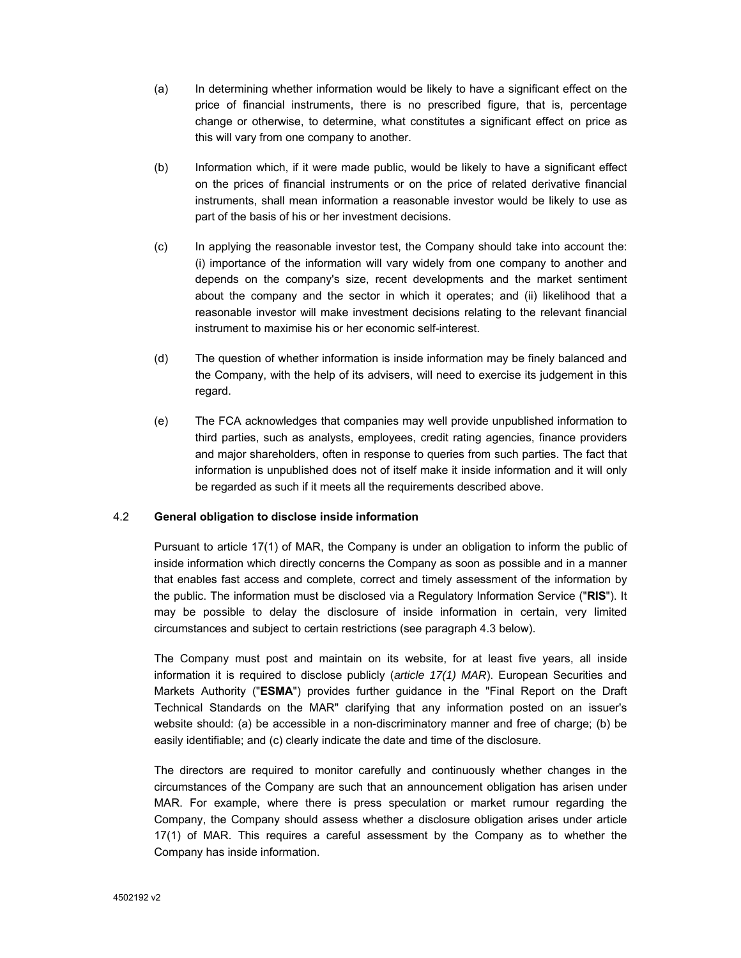- (a) In determining whether information would be likely to have a significant effect on the price of financial instruments, there is no prescribed figure, that is, percentage change or otherwise, to determine, what constitutes a significant effect on price as this will vary from one company to another.
- (b) Information which, if it were made public, would be likely to have a significant effect on the prices of financial instruments or on the price of related derivative financial instruments, shall mean information a reasonable investor would be likely to use as part of the basis of his or her investment decisions.
- (c) In applying the reasonable investor test, the Company should take into account the: (i) importance of the information will vary widely from one company to another and depends on the company's size, recent developments and the market sentiment about the company and the sector in which it operates; and (ii) likelihood that a reasonable investor will make investment decisions relating to the relevant financial instrument to maximise his or her economic self-interest.
- (d) The question of whether information is inside information may be finely balanced and the Company, with the help of its advisers, will need to exercise its judgement in this regard.
- (e) The FCA acknowledges that companies may well provide unpublished information to third parties, such as analysts, employees, credit rating agencies, finance providers and major shareholders, often in response to queries from such parties. The fact that information is unpublished does not of itself make it inside information and it will only be regarded as such if it meets all the requirements described above.

# 4.2 **General obligation to disclose inside information**

Pursuant to article 17(1) of MAR, the Company is under an obligation to inform the public of inside information which directly concerns the Company as soon as possible and in a manner that enables fast access and complete, correct and timely assessment of the information by the public. The information must be disclosed via a Regulatory Information Service ("**RIS**"). It may be possible to delay the disclosure of inside information in certain, very limited circumstances and subject to certain restrictions (see paragraph 4.3 below).

The Company must post and maintain on its website, for at least five years, all inside information it is required to disclose publicly (*article 17(1) MAR*). European Securities and Markets Authority ("**ESMA**") provides further guidance in the "Final Report on the Draft Technical Standards on the MAR" clarifying that any information posted on an issuer's website should: (a) be accessible in a non-discriminatory manner and free of charge; (b) be easily identifiable; and (c) clearly indicate the date and time of the disclosure.

The directors are required to monitor carefully and continuously whether changes in the circumstances of the Company are such that an announcement obligation has arisen under MAR. For example, where there is press speculation or market rumour regarding the Company, the Company should assess whether a disclosure obligation arises under article 17(1) of MAR. This requires a careful assessment by the Company as to whether the Company has inside information.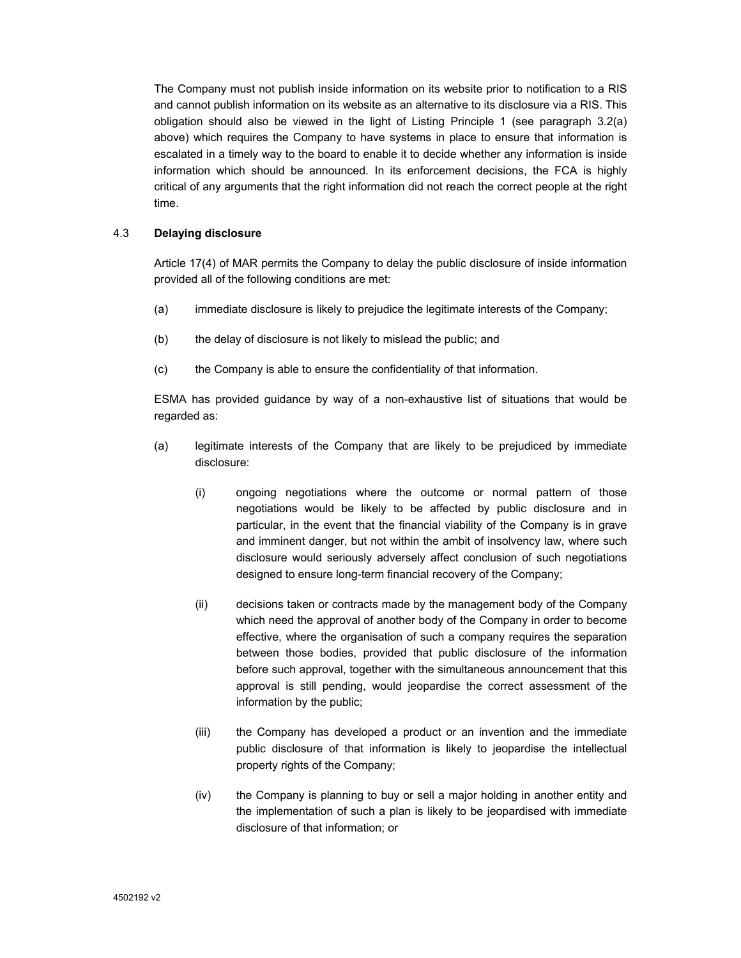The Company must not publish inside information on its website prior to notification to a RIS and cannot publish information on its website as an alternative to its disclosure via a RIS. This obligation should also be viewed in the light of Listing Principle 1 (see paragraph 3.2(a) above) which requires the Company to have systems in place to ensure that information is escalated in a timely way to the board to enable it to decide whether any information is inside information which should be announced. In its enforcement decisions, the FCA is highly critical of any arguments that the right information did not reach the correct people at the right time.

# 4.3 **Delaying disclosure**

Article 17(4) of MAR permits the Company to delay the public disclosure of inside information provided all of the following conditions are met:

- (a) immediate disclosure is likely to prejudice the legitimate interests of the Company;
- (b) the delay of disclosure is not likely to mislead the public; and
- (c) the Company is able to ensure the confidentiality of that information.

ESMA has provided guidance by way of a non-exhaustive list of situations that would be regarded as:

- (a) legitimate interests of the Company that are likely to be prejudiced by immediate disclosure:
	- (i) ongoing negotiations where the outcome or normal pattern of those negotiations would be likely to be affected by public disclosure and in particular, in the event that the financial viability of the Company is in grave and imminent danger, but not within the ambit of insolvency law, where such disclosure would seriously adversely affect conclusion of such negotiations designed to ensure long-term financial recovery of the Company;
	- (ii) decisions taken or contracts made by the management body of the Company which need the approval of another body of the Company in order to become effective, where the organisation of such a company requires the separation between those bodies, provided that public disclosure of the information before such approval, together with the simultaneous announcement that this approval is still pending, would jeopardise the correct assessment of the information by the public;
	- (iii) the Company has developed a product or an invention and the immediate public disclosure of that information is likely to jeopardise the intellectual property rights of the Company;
	- (iv) the Company is planning to buy or sell a major holding in another entity and the implementation of such a plan is likely to be jeopardised with immediate disclosure of that information; or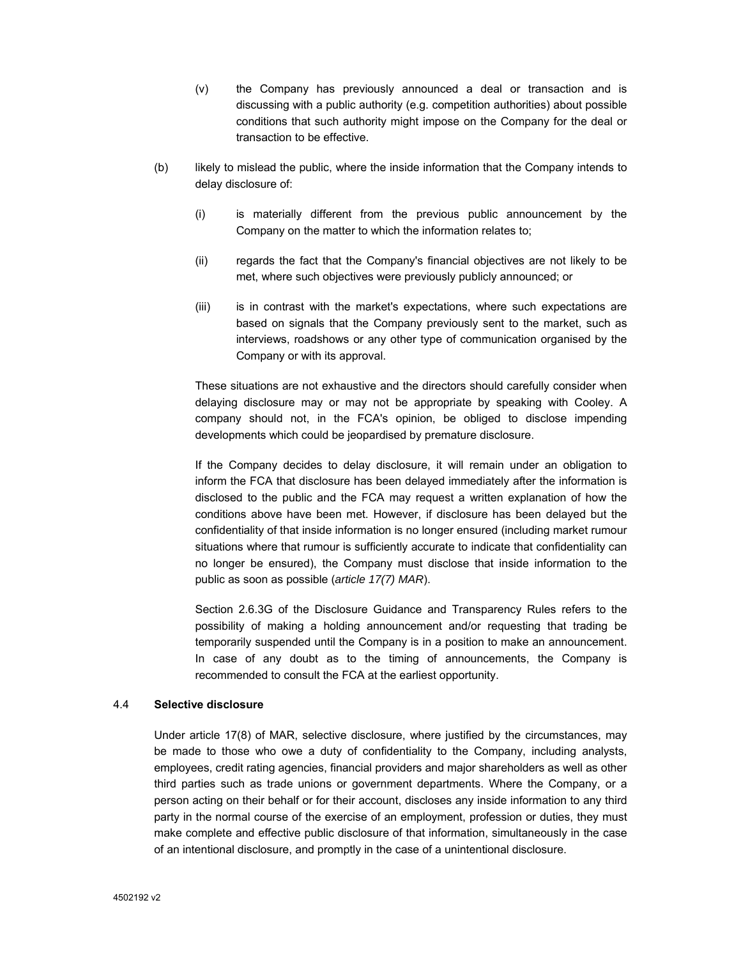- (v) the Company has previously announced a deal or transaction and is discussing with a public authority (e.g. competition authorities) about possible conditions that such authority might impose on the Company for the deal or transaction to be effective.
- (b) likely to mislead the public, where the inside information that the Company intends to delay disclosure of:
	- (i) is materially different from the previous public announcement by the Company on the matter to which the information relates to;
	- (ii) regards the fact that the Company's financial objectives are not likely to be met, where such objectives were previously publicly announced; or
	- (iii) is in contrast with the market's expectations, where such expectations are based on signals that the Company previously sent to the market, such as interviews, roadshows or any other type of communication organised by the Company or with its approval.

These situations are not exhaustive and the directors should carefully consider when delaying disclosure may or may not be appropriate by speaking with Cooley. A company should not, in the FCA's opinion, be obliged to disclose impending developments which could be jeopardised by premature disclosure.

If the Company decides to delay disclosure, it will remain under an obligation to inform the FCA that disclosure has been delayed immediately after the information is disclosed to the public and the FCA may request a written explanation of how the conditions above have been met. However, if disclosure has been delayed but the confidentiality of that inside information is no longer ensured (including market rumour situations where that rumour is sufficiently accurate to indicate that confidentiality can no longer be ensured), the Company must disclose that inside information to the public as soon as possible (*article 17(7) MAR*).

Section 2.6.3G of the Disclosure Guidance and Transparency Rules refers to the possibility of making a holding announcement and/or requesting that trading be temporarily suspended until the Company is in a position to make an announcement. In case of any doubt as to the timing of announcements, the Company is recommended to consult the FCA at the earliest opportunity.

### 4.4 **Selective disclosure**

Under article 17(8) of MAR, selective disclosure, where justified by the circumstances, may be made to those who owe a duty of confidentiality to the Company, including analysts, employees, credit rating agencies, financial providers and major shareholders as well as other third parties such as trade unions or government departments. Where the Company, or a person acting on their behalf or for their account, discloses any inside information to any third party in the normal course of the exercise of an employment, profession or duties, they must make complete and effective public disclosure of that information, simultaneously in the case of an intentional disclosure, and promptly in the case of a unintentional disclosure.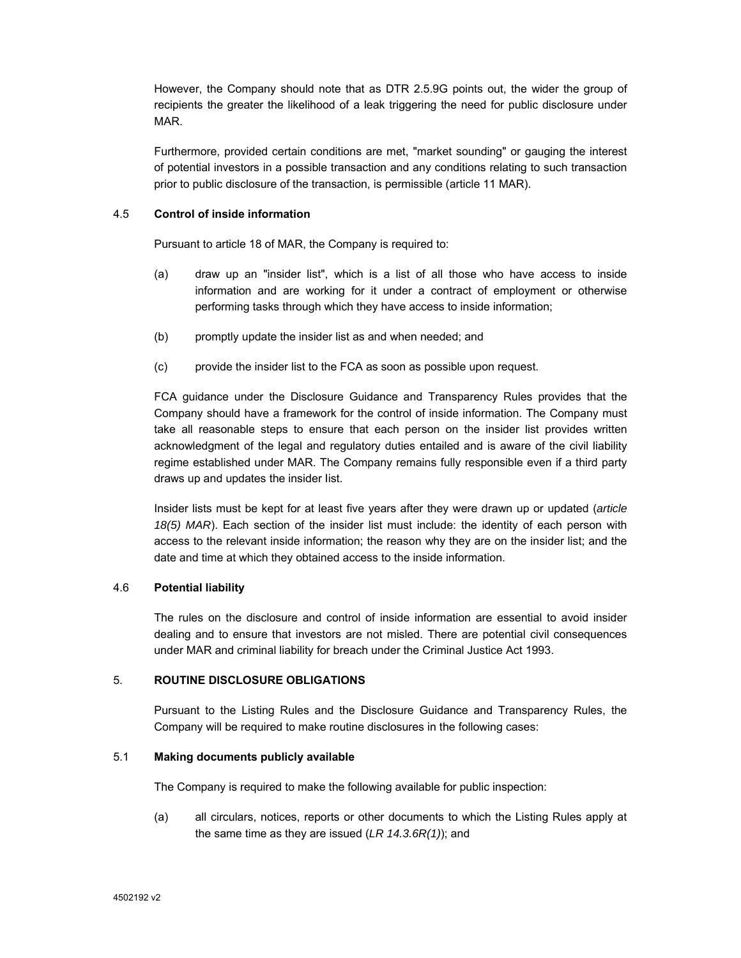However, the Company should note that as DTR 2.5.9G points out, the wider the group of recipients the greater the likelihood of a leak triggering the need for public disclosure under MAR.

Furthermore, provided certain conditions are met, "market sounding" or gauging the interest of potential investors in a possible transaction and any conditions relating to such transaction prior to public disclosure of the transaction, is permissible (article 11 MAR).

# 4.5 **Control of inside information**

Pursuant to article 18 of MAR, the Company is required to:

- (a) draw up an "insider list", which is a list of all those who have access to inside information and are working for it under a contract of employment or otherwise performing tasks through which they have access to inside information;
- (b) promptly update the insider list as and when needed; and
- (c) provide the insider list to the FCA as soon as possible upon request.

FCA guidance under the Disclosure Guidance and Transparency Rules provides that the Company should have a framework for the control of inside information. The Company must take all reasonable steps to ensure that each person on the insider list provides written acknowledgment of the legal and regulatory duties entailed and is aware of the civil liability regime established under MAR. The Company remains fully responsible even if a third party draws up and updates the insider Iist.

Insider lists must be kept for at least five years after they were drawn up or updated (*article 18(5) MAR*). Each section of the insider list must include: the identity of each person with access to the relevant inside information; the reason why they are on the insider list; and the date and time at which they obtained access to the inside information.

# 4.6 **Potential liability**

The rules on the disclosure and control of inside information are essential to avoid insider dealing and to ensure that investors are not misled. There are potential civil consequences under MAR and criminal liability for breach under the Criminal Justice Act 1993.

#### 5. **ROUTINE DISCLOSURE OBLIGATIONS**

Pursuant to the Listing Rules and the Disclosure Guidance and Transparency Rules, the Company will be required to make routine disclosures in the following cases:

# 5.1 **Making documents publicly available**

The Company is required to make the following available for public inspection:

(a) all circulars, notices, reports or other documents to which the Listing Rules apply at the same time as they are issued (*LR 14.3.6R(1)*); and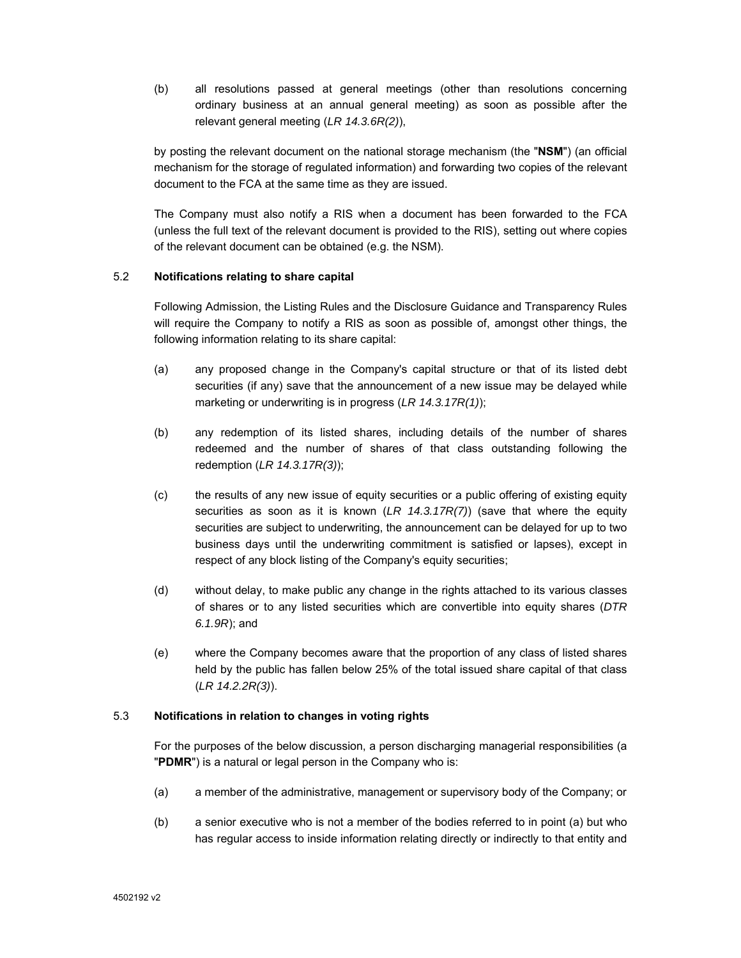(b) all resolutions passed at general meetings (other than resolutions concerning ordinary business at an annual general meeting) as soon as possible after the relevant general meeting (*LR 14.3.6R(2)*),

by posting the relevant document on the national storage mechanism (the "**NSM**") (an official mechanism for the storage of regulated information) and forwarding two copies of the relevant document to the FCA at the same time as they are issued.

The Company must also notify a RIS when a document has been forwarded to the FCA (unless the full text of the relevant document is provided to the RIS), setting out where copies of the relevant document can be obtained (e.g. the NSM).

# 5.2 **Notifications relating to share capital**

Following Admission, the Listing Rules and the Disclosure Guidance and Transparency Rules will require the Company to notify a RIS as soon as possible of, amongst other things, the following information relating to its share capital:

- (a) any proposed change in the Company's capital structure or that of its listed debt securities (if any) save that the announcement of a new issue may be delayed while marketing or underwriting is in progress (*LR 14.3.17R(1)*);
- (b) any redemption of its listed shares, including details of the number of shares redeemed and the number of shares of that class outstanding following the redemption (*LR 14.3.17R(3)*);
- (c) the results of any new issue of equity securities or a public offering of existing equity securities as soon as it is known (*LR 14.3.17R(7)*) (save that where the equity securities are subject to underwriting, the announcement can be delayed for up to two business days until the underwriting commitment is satisfied or lapses), except in respect of any block listing of the Company's equity securities;
- (d) without delay, to make public any change in the rights attached to its various classes of shares or to any listed securities which are convertible into equity shares (*DTR 6.1.9R*); and
- (e) where the Company becomes aware that the proportion of any class of listed shares held by the public has fallen below 25% of the total issued share capital of that class (*LR 14.2.2R(3)*).

# 5.3 **Notifications in relation to changes in voting rights**

For the purposes of the below discussion, a person discharging managerial responsibilities (a "**PDMR**") is a natural or legal person in the Company who is:

- (a) a member of the administrative, management or supervisory body of the Company; or
- (b) a senior executive who is not a member of the bodies referred to in point (a) but who has regular access to inside information relating directly or indirectly to that entity and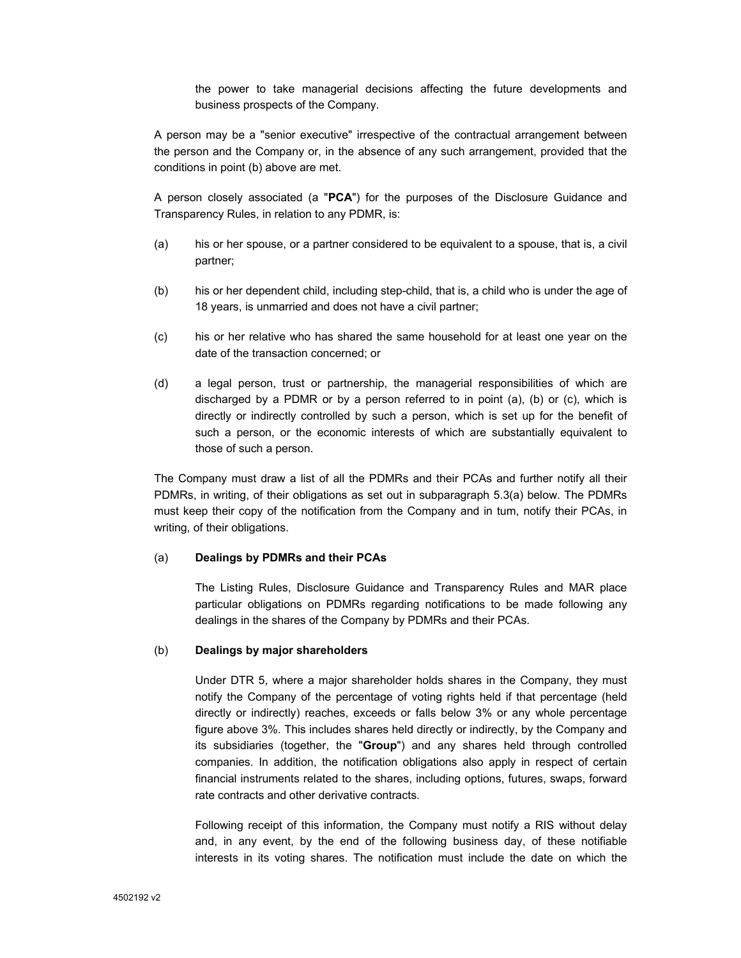the power to take managerial decisions affecting the future developments and business prospects of the Company.

A person may be a "senior executive" irrespective of the contractual arrangement between the person and the Company or, in the absence of any such arrangement, provided that the conditions in point (b) above are met.

A person closely associated (a "**PCA**") for the purposes of the Disclosure Guidance and Transparency Rules, in relation to any PDMR, is:

- (a) his or her spouse, or a partner considered to be equivalent to a spouse, that is, a civil partner;
- (b) his or her dependent child, including step-child, that is, a child who is under the age of 18 years, is unmarried and does not have a civil partner;
- (c) his or her relative who has shared the same household for at least one year on the date of the transaction concerned; or
- (d) a legal person, trust or partnership, the managerial responsibilities of which are discharged by a PDMR or by a person referred to in point (a), (b) or (c), which is directly or indirectly controlled by such a person, which is set up for the benefit of such a person, or the economic interests of which are substantially equivalent to those of such a person.

The Company must draw a list of all the PDMRs and their PCAs and further notify all their PDMRs, in writing, of their obligations as set out in subparagraph 5.3(a) below. The PDMRs must keep their copy of the notification from the Company and in tum, notify their PCAs, in writing, of their obligations.

#### (a) **Dealings by PDMRs and their PCAs**

The Listing Rules, Disclosure Guidance and Transparency Rules and MAR place particular obligations on PDMRs regarding notifications to be made following any dealings in the shares of the Company by PDMRs and their PCAs.

#### (b) **Dealings by major shareholders**

Under DTR 5, where a major shareholder holds shares in the Company, they must notify the Company of the percentage of voting rights held if that percentage (held directly or indirectly) reaches, exceeds or falls below 3% or any whole percentage figure above 3%. This includes shares held directly or indirectly, by the Company and its subsidiaries (together, the "**Group**") and any shares held through controlled companies. In addition, the notification obligations also apply in respect of certain financial instruments related to the shares, including options, futures, swaps, forward rate contracts and other derivative contracts.

Following receipt of this information, the Company must notify a RIS without delay and, in any event, by the end of the following business day, of these notifiable interests in its voting shares. The notification must include the date on which the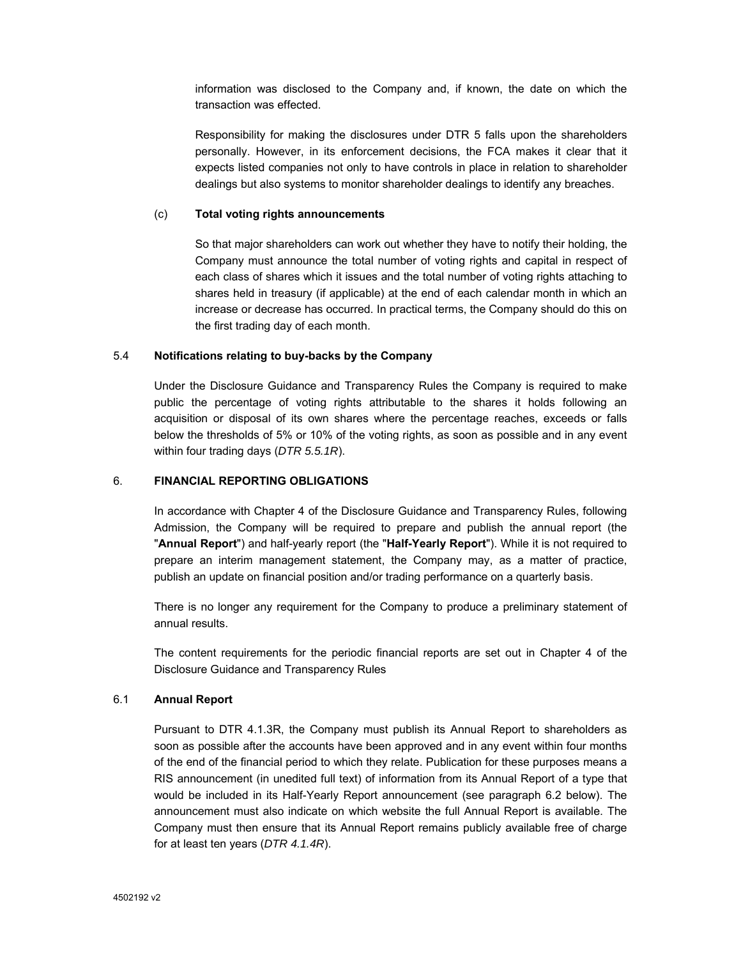information was disclosed to the Company and, if known, the date on which the transaction was effected.

Responsibility for making the disclosures under DTR 5 falls upon the shareholders personally. However, in its enforcement decisions, the FCA makes it clear that it expects listed companies not only to have controls in place in relation to shareholder dealings but also systems to monitor shareholder dealings to identify any breaches.

# (c) **Total voting rights announcements**

So that major shareholders can work out whether they have to notify their holding, the Company must announce the total number of voting rights and capital in respect of each class of shares which it issues and the total number of voting rights attaching to shares held in treasury (if applicable) at the end of each calendar month in which an increase or decrease has occurred. In practical terms, the Company should do this on the first trading day of each month.

# 5.4 **Notifications relating to buy-backs by the Company**

Under the Disclosure Guidance and Transparency Rules the Company is required to make public the percentage of voting rights attributable to the shares it holds following an acquisition or disposal of its own shares where the percentage reaches, exceeds or falls below the thresholds of 5% or 10% of the voting rights, as soon as possible and in any event within four trading days (*DTR 5.5.1R*).

### 6. **FINANCIAL REPORTING OBLIGATIONS**

In accordance with Chapter 4 of the Disclosure Guidance and Transparency Rules, following Admission, the Company will be required to prepare and publish the annual report (the "**Annual Report**") and half-yearly report (the "**Half-Yearly Report**"). While it is not required to prepare an interim management statement, the Company may, as a matter of practice, publish an update on financial position and/or trading performance on a quarterly basis.

There is no longer any requirement for the Company to produce a preliminary statement of annual results.

The content requirements for the periodic financial reports are set out in Chapter 4 of the Disclosure Guidance and Transparency Rules

#### 6.1 **Annual Report**

Pursuant to DTR 4.1.3R, the Company must publish its Annual Report to shareholders as soon as possible after the accounts have been approved and in any event within four months of the end of the financial period to which they relate. Publication for these purposes means a RIS announcement (in unedited full text) of information from its Annual Report of a type that would be included in its Half-Yearly Report announcement (see paragraph 6.2 below). The announcement must also indicate on which website the full Annual Report is available. The Company must then ensure that its Annual Report remains publicly available free of charge for at least ten years (*DTR 4.1.4R*).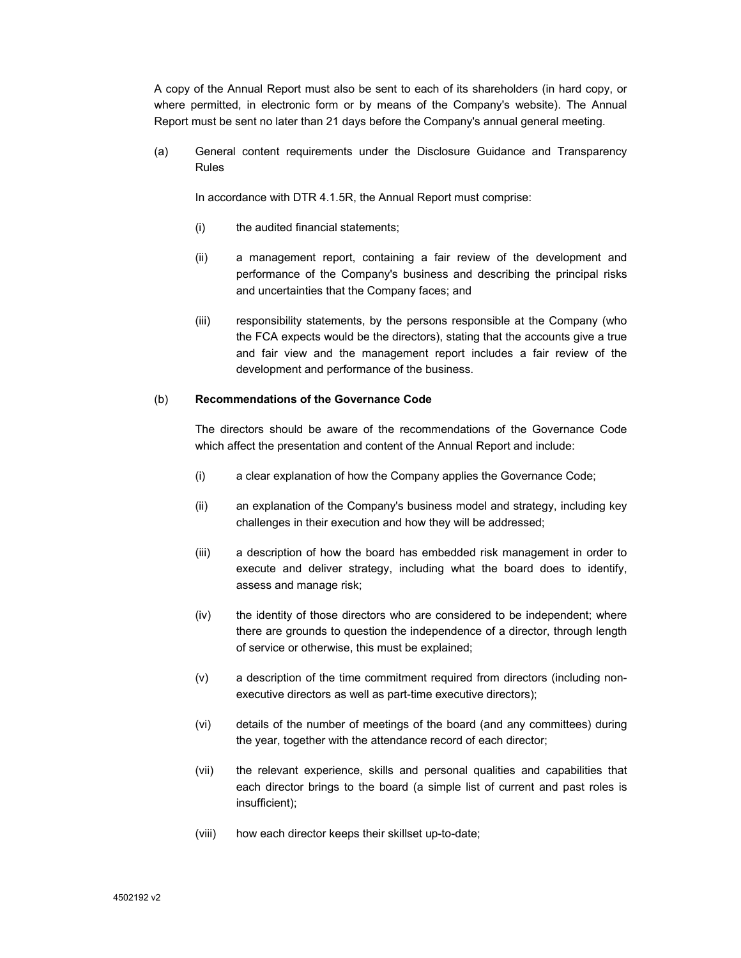A copy of the Annual Report must also be sent to each of its shareholders (in hard copy, or where permitted, in electronic form or by means of the Company's website). The Annual Report must be sent no later than 21 days before the Company's annual general meeting.

(a) General content requirements under the Disclosure Guidance and Transparency Rules

In accordance with DTR 4.1.5R, the Annual Report must comprise:

- (i) the audited financial statements;
- (ii) a management report, containing a fair review of the development and performance of the Company's business and describing the principal risks and uncertainties that the Company faces; and
- (iii) responsibility statements, by the persons responsible at the Company (who the FCA expects would be the directors), stating that the accounts give a true and fair view and the management report includes a fair review of the development and performance of the business.

# (b) **Recommendations of the Governance Code**

The directors should be aware of the recommendations of the Governance Code which affect the presentation and content of the Annual Report and include:

- (i) a clear explanation of how the Company applies the Governance Code;
- (ii) an explanation of the Company's business model and strategy, including key challenges in their execution and how they will be addressed;
- (iii) a description of how the board has embedded risk management in order to execute and deliver strategy, including what the board does to identify, assess and manage risk;
- (iv) the identity of those directors who are considered to be independent; where there are grounds to question the independence of a director, through length of service or otherwise, this must be explained;
- (v) a description of the time commitment required from directors (including nonexecutive directors as well as part-time executive directors);
- (vi) details of the number of meetings of the board (and any committees) during the year, together with the attendance record of each director;
- (vii) the relevant experience, skills and personal qualities and capabilities that each director brings to the board (a simple list of current and past roles is insufficient);
- (viii) how each director keeps their skillset up-to-date;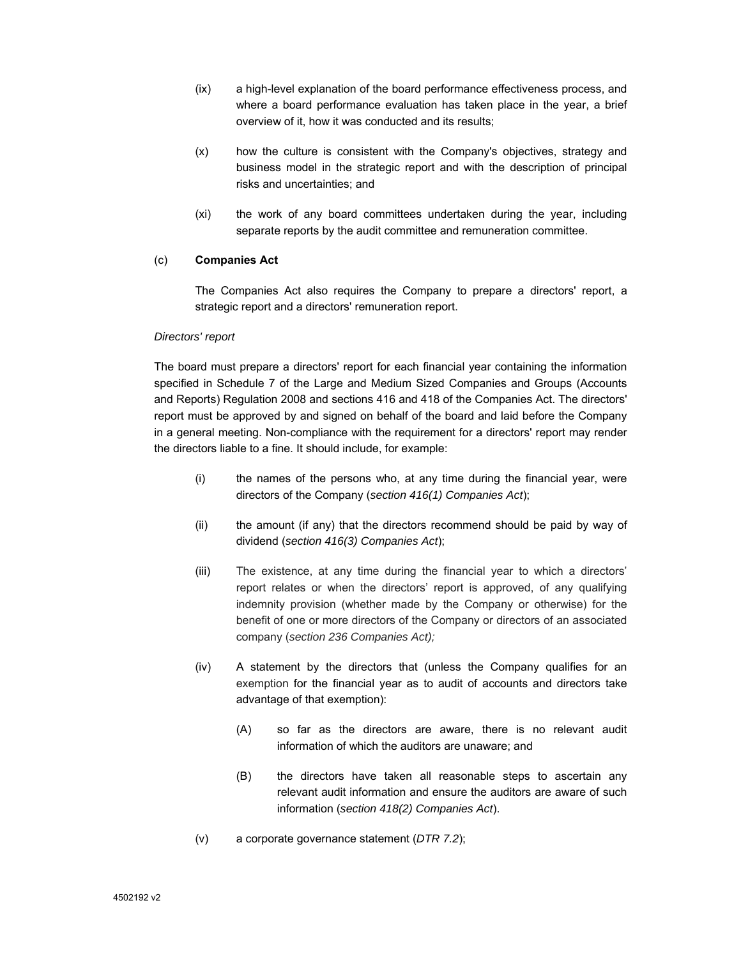- (ix) a high-level explanation of the board performance effectiveness process, and where a board performance evaluation has taken place in the year, a brief overview of it, how it was conducted and its results;
- (x) how the culture is consistent with the Company's objectives, strategy and business model in the strategic report and with the description of principal risks and uncertainties; and
- (xi) the work of any board committees undertaken during the year, including separate reports by the audit committee and remuneration committee.

# (c) **Companies Act**

The Companies Act also requires the Company to prepare a directors' report, a strategic report and a directors' remuneration report.

#### *Directors' report*

The board must prepare a directors' report for each financial year containing the information specified in Schedule 7 of the Large and Medium Sized Companies and Groups (Accounts and Reports) Regulation 2008 and sections 416 and 418 of the Companies Act. The directors' report must be approved by and signed on behalf of the board and laid before the Company in a general meeting. Non-compliance with the requirement for a directors' report may render the directors liable to a fine. It should include, for example:

- (i) the names of the persons who, at any time during the financial year, were directors of the Company (*section 416(1) Companies Act*);
- (ii) the amount (if any) that the directors recommend should be paid by way of dividend (*section 416(3) Companies Act*);
- (iii) The existence, at any time during the financial year to which a directors' report relates or when the directors' report is approved, of any qualifying indemnity provision (whether made by the Company or otherwise) for the benefit of one or more directors of the Company or directors of an associated company (*section 236 Companies Act);*
- (iv) A statement by the directors that (unless the Company qualifies for an exemption for the financial year as to audit of accounts and directors take advantage of that exemption):
	- (A) so far as the directors are aware, there is no relevant audit information of which the auditors are unaware; and
	- (B) the directors have taken all reasonable steps to ascertain any relevant audit information and ensure the auditors are aware of such information (*section 418(2) Companies Act*).
- (v) a corporate governance statement (*DTR 7.2*);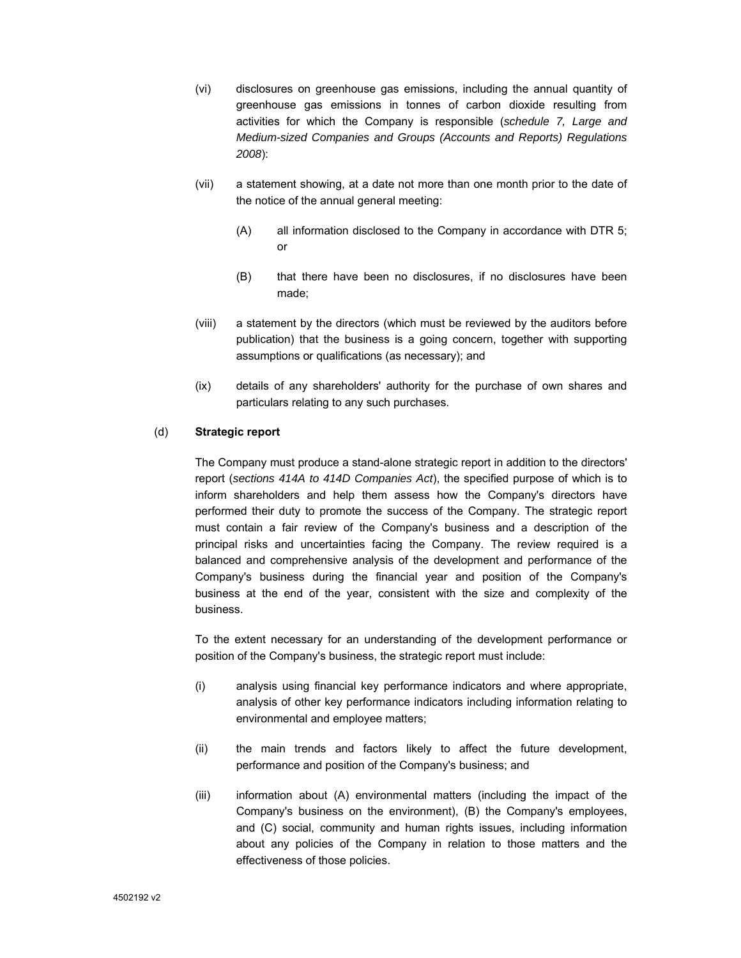- (vi) disclosures on greenhouse gas emissions, including the annual quantity of greenhouse gas emissions in tonnes of carbon dioxide resulting from activities for which the Company is responsible (*schedule 7, Large and Medium-sized Companies and Groups (Accounts and Reports) Regulations 2008*):
- (vii) a statement showing, at a date not more than one month prior to the date of the notice of the annual general meeting:
	- (A) all information disclosed to the Company in accordance with DTR 5; or
	- (B) that there have been no disclosures, if no disclosures have been made;
- (viii) a statement by the directors (which must be reviewed by the auditors before publication) that the business is a going concern, together with supporting assumptions or qualifications (as necessary); and
- (ix) details of any shareholders' authority for the purchase of own shares and particulars relating to any such purchases.

# (d) **Strategic report**

The Company must produce a stand-alone strategic report in addition to the directors' report (*sections 414A to 414D Companies Act*), the specified purpose of which is to inform shareholders and help them assess how the Company's directors have performed their duty to promote the success of the Company. The strategic report must contain a fair review of the Company's business and a description of the principal risks and uncertainties facing the Company. The review required is a balanced and comprehensive analysis of the development and performance of the Company's business during the financial year and position of the Company's business at the end of the year, consistent with the size and complexity of the business.

To the extent necessary for an understanding of the development performance or position of the Company's business, the strategic report must include:

- (i) analysis using financial key performance indicators and where appropriate, analysis of other key performance indicators including information relating to environmental and employee matters;
- (ii) the main trends and factors likely to affect the future development, performance and position of the Company's business; and
- (iii) information about (A) environmental matters (including the impact of the Company's business on the environment), (B) the Company's employees, and (C) social, community and human rights issues, including information about any policies of the Company in relation to those matters and the effectiveness of those policies.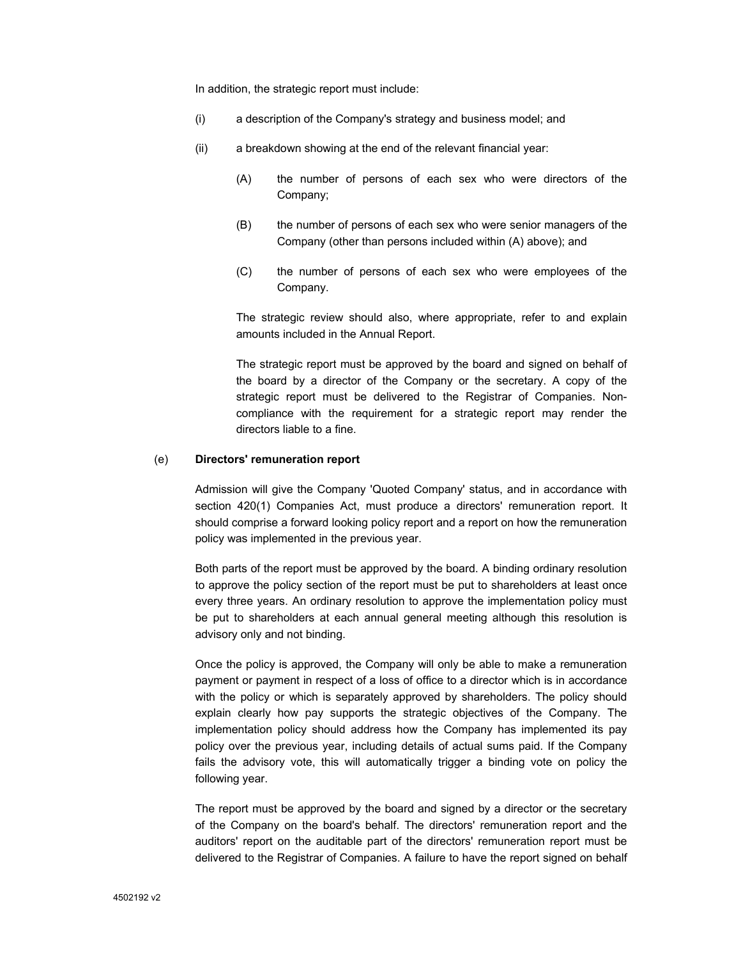In addition, the strategic report must include:

- (i) a description of the Company's strategy and business model; and
- (ii) a breakdown showing at the end of the relevant financial year:
	- (A) the number of persons of each sex who were directors of the Company;
	- (B) the number of persons of each sex who were senior managers of the Company (other than persons included within (A) above); and
	- (C) the number of persons of each sex who were employees of the Company.

The strategic review should also, where appropriate, refer to and explain amounts included in the Annual Report.

The strategic report must be approved by the board and signed on behalf of the board by a director of the Company or the secretary. A copy of the strategic report must be delivered to the Registrar of Companies. Noncompliance with the requirement for a strategic report may render the directors liable to a fine.

#### (e) **Directors' remuneration report**

Admission will give the Company 'Quoted Company' status, and in accordance with section 420(1) Companies Act, must produce a directors' remuneration report. It should comprise a forward looking policy report and a report on how the remuneration policy was implemented in the previous year.

Both parts of the report must be approved by the board. A binding ordinary resolution to approve the policy section of the report must be put to shareholders at least once every three years. An ordinary resolution to approve the implementation policy must be put to shareholders at each annual general meeting although this resolution is advisory only and not binding.

Once the policy is approved, the Company will only be able to make a remuneration payment or payment in respect of a loss of office to a director which is in accordance with the policy or which is separately approved by shareholders. The policy should explain clearly how pay supports the strategic objectives of the Company. The implementation policy should address how the Company has implemented its pay policy over the previous year, including details of actual sums paid. If the Company fails the advisory vote, this will automatically trigger a binding vote on policy the following year.

The report must be approved by the board and signed by a director or the secretary of the Company on the board's behalf. The directors' remuneration report and the auditors' report on the auditable part of the directors' remuneration report must be delivered to the Registrar of Companies. A failure to have the report signed on behalf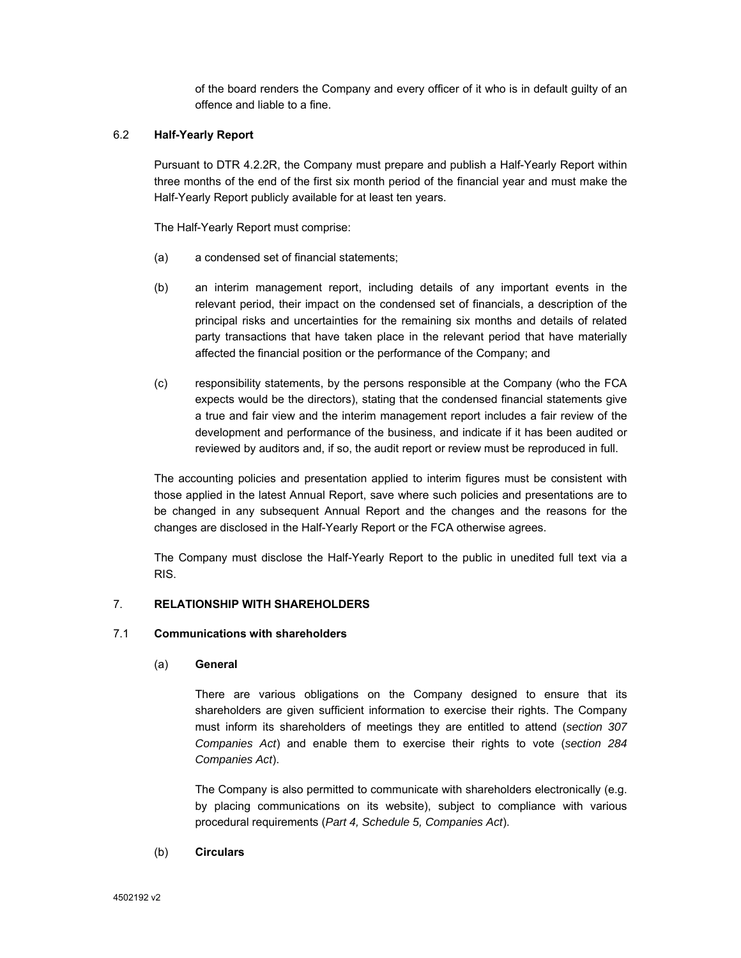of the board renders the Company and every officer of it who is in default guilty of an offence and liable to a fine.

# 6.2 **Half-Yearly Report**

Pursuant to DTR 4.2.2R, the Company must prepare and publish a Half-Yearly Report within three months of the end of the first six month period of the financial year and must make the Half-Yearly Report publicly available for at least ten years.

The Half-Yearly Report must comprise:

- (a) a condensed set of financial statements;
- (b) an interim management report, including details of any important events in the relevant period, their impact on the condensed set of financials, a description of the principal risks and uncertainties for the remaining six months and details of related party transactions that have taken place in the relevant period that have materially affected the financial position or the performance of the Company; and
- (c) responsibility statements, by the persons responsible at the Company (who the FCA expects would be the directors), stating that the condensed financial statements give a true and fair view and the interim management report includes a fair review of the development and performance of the business, and indicate if it has been audited or reviewed by auditors and, if so, the audit report or review must be reproduced in full.

The accounting policies and presentation applied to interim figures must be consistent with those applied in the latest Annual Report, save where such policies and presentations are to be changed in any subsequent Annual Report and the changes and the reasons for the changes are disclosed in the Half-Yearly Report or the FCA otherwise agrees.

The Company must disclose the Half-Yearly Report to the public in unedited full text via a RIS.

#### 7. **RELATIONSHIP WITH SHAREHOLDERS**

#### 7.1 **Communications with shareholders**

#### (a) **General**

There are various obligations on the Company designed to ensure that its shareholders are given sufficient information to exercise their rights. The Company must inform its shareholders of meetings they are entitled to attend (*section 307 Companies Act*) and enable them to exercise their rights to vote (*section 284 Companies Act*).

The Company is also permitted to communicate with shareholders electronically (e.g. by placing communications on its website), subject to compliance with various procedural requirements (*Part 4, Schedule 5, Companies Act*).

#### (b) **Circulars**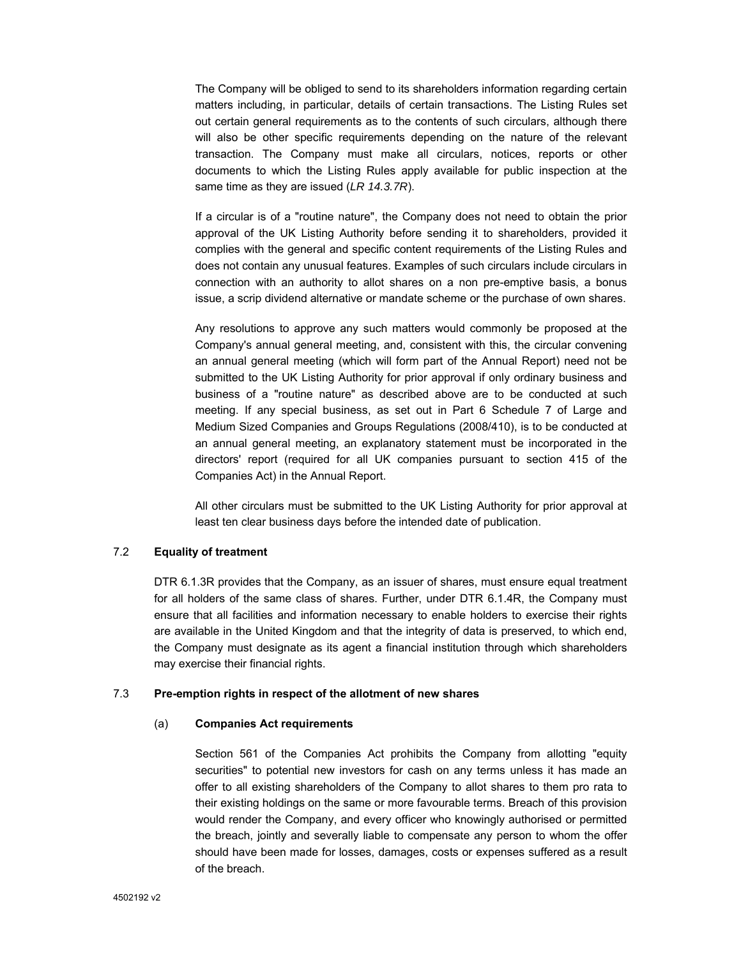The Company will be obliged to send to its shareholders information regarding certain matters including, in particular, details of certain transactions. The Listing Rules set out certain general requirements as to the contents of such circulars, although there will also be other specific requirements depending on the nature of the relevant transaction. The Company must make all circulars, notices, reports or other documents to which the Listing Rules apply available for public inspection at the same time as they are issued (*LR 14.3.7R*).

If a circular is of a "routine nature", the Company does not need to obtain the prior approval of the UK Listing Authority before sending it to shareholders, provided it complies with the general and specific content requirements of the Listing Rules and does not contain any unusual features. Examples of such circulars include circulars in connection with an authority to allot shares on a non pre-emptive basis, a bonus issue, a scrip dividend alternative or mandate scheme or the purchase of own shares.

Any resolutions to approve any such matters would commonly be proposed at the Company's annual general meeting, and, consistent with this, the circular convening an annual general meeting (which will form part of the Annual Report) need not be submitted to the UK Listing Authority for prior approval if only ordinary business and business of a "routine nature" as described above are to be conducted at such meeting. If any special business, as set out in Part 6 Schedule 7 of Large and Medium Sized Companies and Groups Regulations (2008/410), is to be conducted at an annual general meeting, an explanatory statement must be incorporated in the directors' report (required for all UK companies pursuant to section 415 of the Companies Act) in the Annual Report.

All other circulars must be submitted to the UK Listing Authority for prior approval at least ten clear business days before the intended date of publication.

# 7.2 **Equality of treatment**

DTR 6.1.3R provides that the Company, as an issuer of shares, must ensure equal treatment for all holders of the same class of shares. Further, under DTR 6.1.4R, the Company must ensure that all facilities and information necessary to enable holders to exercise their rights are available in the United Kingdom and that the integrity of data is preserved, to which end, the Company must designate as its agent a financial institution through which shareholders may exercise their financial rights.

#### 7.3 **Pre-emption rights in respect of the allotment of new shares**

#### (a) **Companies Act requirements**

Section 561 of the Companies Act prohibits the Company from allotting "equity securities" to potential new investors for cash on any terms unless it has made an offer to all existing shareholders of the Company to allot shares to them pro rata to their existing holdings on the same or more favourable terms. Breach of this provision would render the Company, and every officer who knowingly authorised or permitted the breach, jointly and severally liable to compensate any person to whom the offer should have been made for losses, damages, costs or expenses suffered as a result of the breach.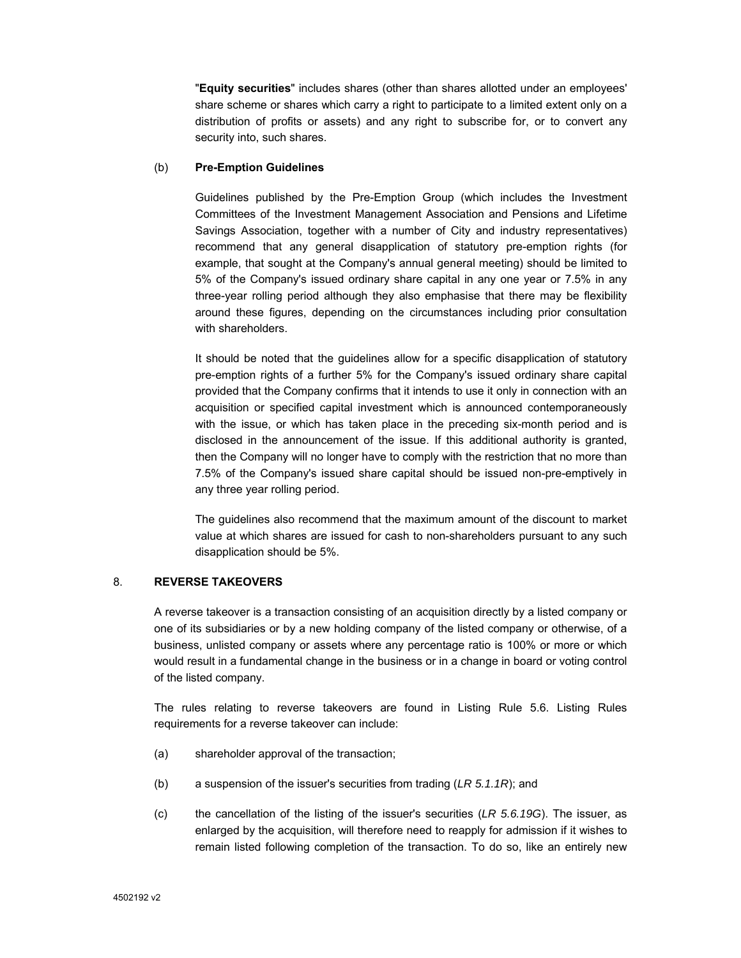"**Equity securities**" includes shares (other than shares allotted under an employees' share scheme or shares which carry a right to participate to a limited extent only on a distribution of profits or assets) and any right to subscribe for, or to convert any security into, such shares.

# (b) **Pre-Emption Guidelines**

Guidelines published by the Pre-Emption Group (which includes the Investment Committees of the Investment Management Association and Pensions and Lifetime Savings Association, together with a number of City and industry representatives) recommend that any general disapplication of statutory pre-emption rights (for example, that sought at the Company's annual general meeting) should be limited to 5% of the Company's issued ordinary share capital in any one year or 7.5% in any three-year rolling period although they also emphasise that there may be flexibility around these figures, depending on the circumstances including prior consultation with shareholders.

It should be noted that the guidelines allow for a specific disapplication of statutory pre-emption rights of a further 5% for the Company's issued ordinary share capital provided that the Company confirms that it intends to use it only in connection with an acquisition or specified capital investment which is announced contemporaneously with the issue, or which has taken place in the preceding six-month period and is disclosed in the announcement of the issue. If this additional authority is granted, then the Company will no longer have to comply with the restriction that no more than 7.5% of the Company's issued share capital should be issued non-pre-emptively in any three year rolling period.

The guidelines also recommend that the maximum amount of the discount to market value at which shares are issued for cash to non-shareholders pursuant to any such disapplication should be 5%.

# 8. **REVERSE TAKEOVERS**

A reverse takeover is a transaction consisting of an acquisition directly by a listed company or one of its subsidiaries or by a new holding company of the listed company or otherwise, of a business, unlisted company or assets where any percentage ratio is 100% or more or which would result in a fundamental change in the business or in a change in board or voting control of the listed company.

The rules relating to reverse takeovers are found in Listing Rule 5.6. Listing Rules requirements for a reverse takeover can include:

- (a) shareholder approval of the transaction;
- (b) a suspension of the issuer's securities from trading (*LR 5.1.1R*); and
- (c) the cancellation of the listing of the issuer's securities (*LR 5.6.19G*). The issuer, as enlarged by the acquisition, will therefore need to reapply for admission if it wishes to remain listed following completion of the transaction. To do so, like an entirely new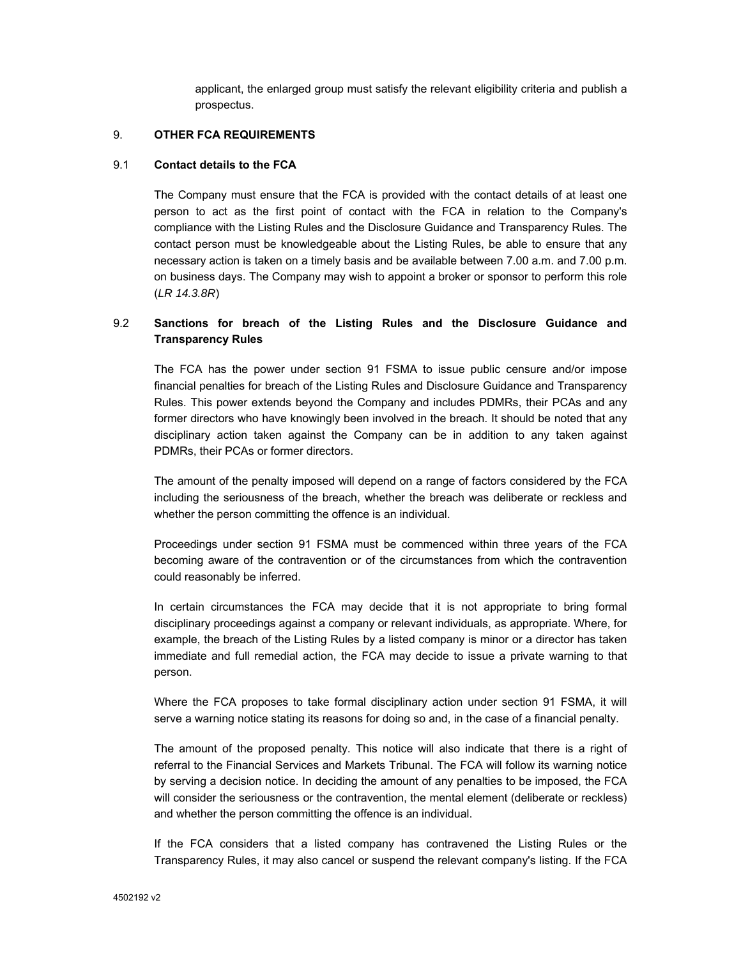applicant, the enlarged group must satisfy the relevant eligibility criteria and publish a prospectus.

# 9. **OTHER FCA REQUIREMENTS**

# 9.1 **Contact details to the FCA**

The Company must ensure that the FCA is provided with the contact details of at least one person to act as the first point of contact with the FCA in relation to the Company's compliance with the Listing Rules and the Disclosure Guidance and Transparency Rules. The contact person must be knowledgeable about the Listing Rules, be able to ensure that any necessary action is taken on a timely basis and be available between 7.00 a.m. and 7.00 p.m. on business days. The Company may wish to appoint a broker or sponsor to perform this role (*LR 14.3.8R*)

# 9.2 **Sanctions for breach of the Listing Rules and the Disclosure Guidance and Transparency Rules**

The FCA has the power under section 91 FSMA to issue public censure and/or impose financial penalties for breach of the Listing Rules and Disclosure Guidance and Transparency Rules. This power extends beyond the Company and includes PDMRs, their PCAs and any former directors who have knowingly been involved in the breach. It should be noted that any disciplinary action taken against the Company can be in addition to any taken against PDMRs, their PCAs or former directors.

The amount of the penalty imposed will depend on a range of factors considered by the FCA including the seriousness of the breach, whether the breach was deliberate or reckless and whether the person committing the offence is an individual.

Proceedings under section 91 FSMA must be commenced within three years of the FCA becoming aware of the contravention or of the circumstances from which the contravention could reasonably be inferred.

In certain circumstances the FCA may decide that it is not appropriate to bring formal disciplinary proceedings against a company or relevant individuals, as appropriate. Where, for example, the breach of the Listing Rules by a listed company is minor or a director has taken immediate and full remedial action, the FCA may decide to issue a private warning to that person.

Where the FCA proposes to take formal disciplinary action under section 91 FSMA, it will serve a warning notice stating its reasons for doing so and, in the case of a financial penalty.

The amount of the proposed penalty. This notice will also indicate that there is a right of referral to the Financial Services and Markets Tribunal. The FCA will follow its warning notice by serving a decision notice. In deciding the amount of any penalties to be imposed, the FCA will consider the seriousness or the contravention, the mental element (deliberate or reckless) and whether the person committing the offence is an individual.

If the FCA considers that a listed company has contravened the Listing Rules or the Transparency Rules, it may also cancel or suspend the relevant company's listing. If the FCA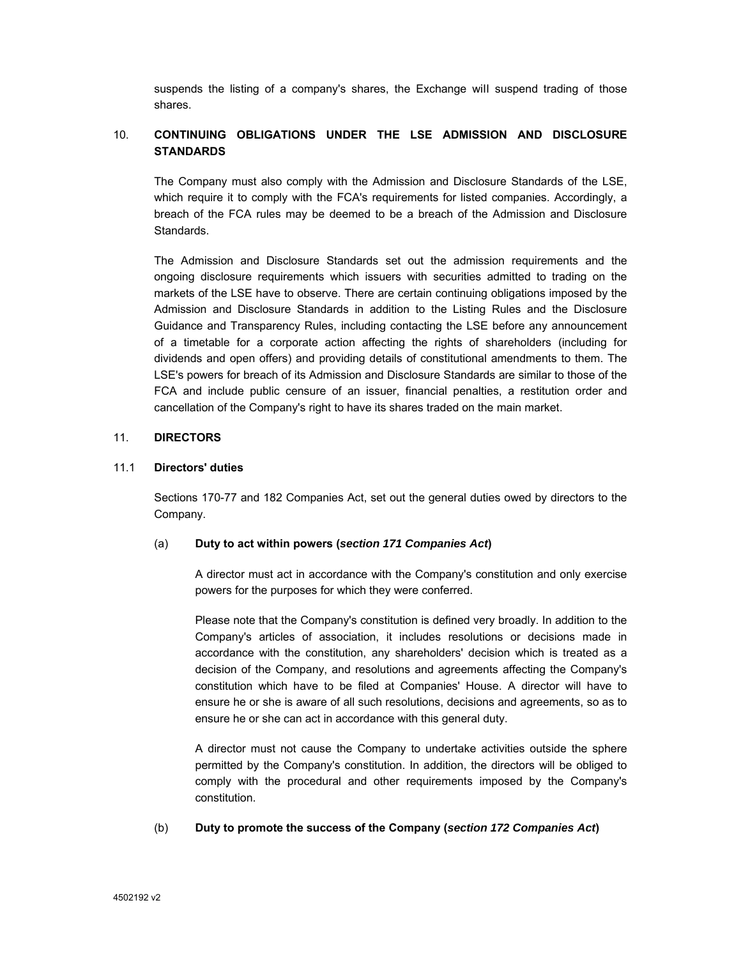suspends the listing of a company's shares, the Exchange wiII suspend trading of those shares.

# 10. **CONTINUING OBLIGATIONS UNDER THE LSE ADMISSION AND DISCLOSURE STANDARDS**

The Company must also comply with the Admission and Disclosure Standards of the LSE, which require it to comply with the FCA's requirements for listed companies. Accordingly, a breach of the FCA rules may be deemed to be a breach of the Admission and Disclosure **Standards** 

The Admission and Disclosure Standards set out the admission requirements and the ongoing disclosure requirements which issuers with securities admitted to trading on the markets of the LSE have to observe. There are certain continuing obligations imposed by the Admission and Disclosure Standards in addition to the Listing Rules and the Disclosure Guidance and Transparency Rules, including contacting the LSE before any announcement of a timetable for a corporate action affecting the rights of shareholders (including for dividends and open offers) and providing details of constitutional amendments to them. The LSE's powers for breach of its Admission and Disclosure Standards are similar to those of the FCA and include public censure of an issuer, financial penalties, a restitution order and cancellation of the Company's right to have its shares traded on the main market.

# 11. **DIRECTORS**

# 11.1 **Directors' duties**

Sections 170-77 and 182 Companies Act, set out the general duties owed by directors to the Company.

#### (a) **Duty to act within powers (***section 171 Companies Act***)**

A director must act in accordance with the Company's constitution and only exercise powers for the purposes for which they were conferred.

Please note that the Company's constitution is defined very broadly. In addition to the Company's articles of association, it includes resolutions or decisions made in accordance with the constitution, any shareholders' decision which is treated as a decision of the Company, and resolutions and agreements affecting the Company's constitution which have to be filed at Companies' House. A director will have to ensure he or she is aware of all such resolutions, decisions and agreements, so as to ensure he or she can act in accordance with this general duty.

A director must not cause the Company to undertake activities outside the sphere permitted by the Company's constitution. In addition, the directors will be obliged to comply with the procedural and other requirements imposed by the Company's constitution.

#### (b) **Duty to promote the success of the Company (***section 172 Companies Act***)**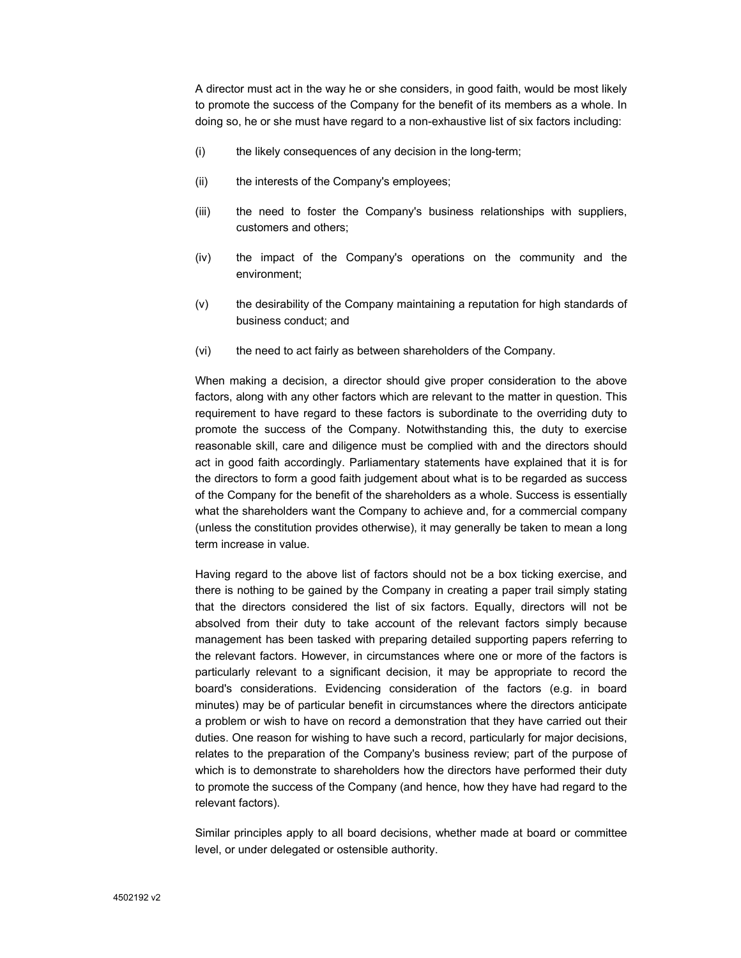A director must act in the way he or she considers, in good faith, would be most likely to promote the success of the Company for the benefit of its members as a whole. In doing so, he or she must have regard to a non-exhaustive list of six factors including:

- (i) the likely consequences of any decision in the long-term;
- (ii) the interests of the Company's employees;
- (iii) the need to foster the Company's business relationships with suppliers, customers and others;
- (iv) the impact of the Company's operations on the community and the environment;
- (v) the desirability of the Company maintaining a reputation for high standards of business conduct; and
- (vi) the need to act fairly as between shareholders of the Company.

When making a decision, a director should give proper consideration to the above factors, along with any other factors which are relevant to the matter in question. This requirement to have regard to these factors is subordinate to the overriding duty to promote the success of the Company. Notwithstanding this, the duty to exercise reasonable skill, care and diligence must be complied with and the directors should act in good faith accordingly. Parliamentary statements have explained that it is for the directors to form a good faith judgement about what is to be regarded as success of the Company for the benefit of the shareholders as a whole. Success is essentially what the shareholders want the Company to achieve and, for a commercial company (unless the constitution provides otherwise), it may generally be taken to mean a long term increase in value.

Having regard to the above list of factors should not be a box ticking exercise, and there is nothing to be gained by the Company in creating a paper trail simply stating that the directors considered the list of six factors. Equally, directors will not be absolved from their duty to take account of the relevant factors simply because management has been tasked with preparing detailed supporting papers referring to the relevant factors. However, in circumstances where one or more of the factors is particularly relevant to a significant decision, it may be appropriate to record the board's considerations. Evidencing consideration of the factors (e.g. in board minutes) may be of particular benefit in circumstances where the directors anticipate a problem or wish to have on record a demonstration that they have carried out their duties. One reason for wishing to have such a record, particularly for major decisions, relates to the preparation of the Company's business review; part of the purpose of which is to demonstrate to shareholders how the directors have performed their duty to promote the success of the Company (and hence, how they have had regard to the relevant factors).

Similar principles apply to all board decisions, whether made at board or committee level, or under delegated or ostensible authority.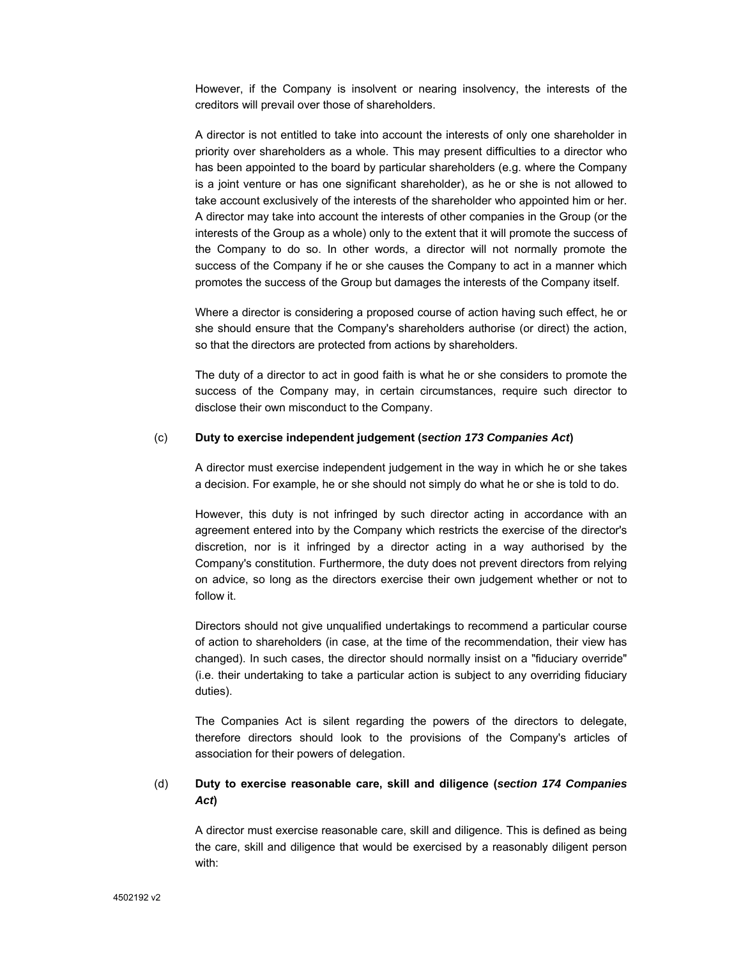However, if the Company is insolvent or nearing insolvency, the interests of the creditors will prevail over those of shareholders.

A director is not entitled to take into account the interests of only one shareholder in priority over shareholders as a whole. This may present difficulties to a director who has been appointed to the board by particular shareholders (e.g. where the Company is a joint venture or has one significant shareholder), as he or she is not allowed to take account exclusively of the interests of the shareholder who appointed him or her. A director may take into account the interests of other companies in the Group (or the interests of the Group as a whole) only to the extent that it will promote the success of the Company to do so. In other words, a director will not normally promote the success of the Company if he or she causes the Company to act in a manner which promotes the success of the Group but damages the interests of the Company itself.

Where a director is considering a proposed course of action having such effect, he or she should ensure that the Company's shareholders authorise (or direct) the action, so that the directors are protected from actions by shareholders.

The duty of a director to act in good faith is what he or she considers to promote the success of the Company may, in certain circumstances, require such director to disclose their own misconduct to the Company.

#### (c) **Duty to exercise independent judgement (***section 173 Companies Act***)**

A director must exercise independent judgement in the way in which he or she takes a decision. For example, he or she should not simply do what he or she is told to do.

However, this duty is not infringed by such director acting in accordance with an agreement entered into by the Company which restricts the exercise of the director's discretion, nor is it infringed by a director acting in a way authorised by the Company's constitution. Furthermore, the duty does not prevent directors from relying on advice, so long as the directors exercise their own judgement whether or not to follow it.

Directors should not give unqualified undertakings to recommend a particular course of action to shareholders (in case, at the time of the recommendation, their view has changed). In such cases, the director should normally insist on a "fiduciary override" (i.e. their undertaking to take a particular action is subject to any overriding fiduciary duties).

The Companies Act is silent regarding the powers of the directors to delegate, therefore directors should look to the provisions of the Company's articles of association for their powers of delegation.

# (d) **Duty to exercise reasonable care, skill and diligence (***section 174 Companies Act***)**

A director must exercise reasonable care, skill and diligence. This is defined as being the care, skill and diligence that would be exercised by a reasonably diligent person with: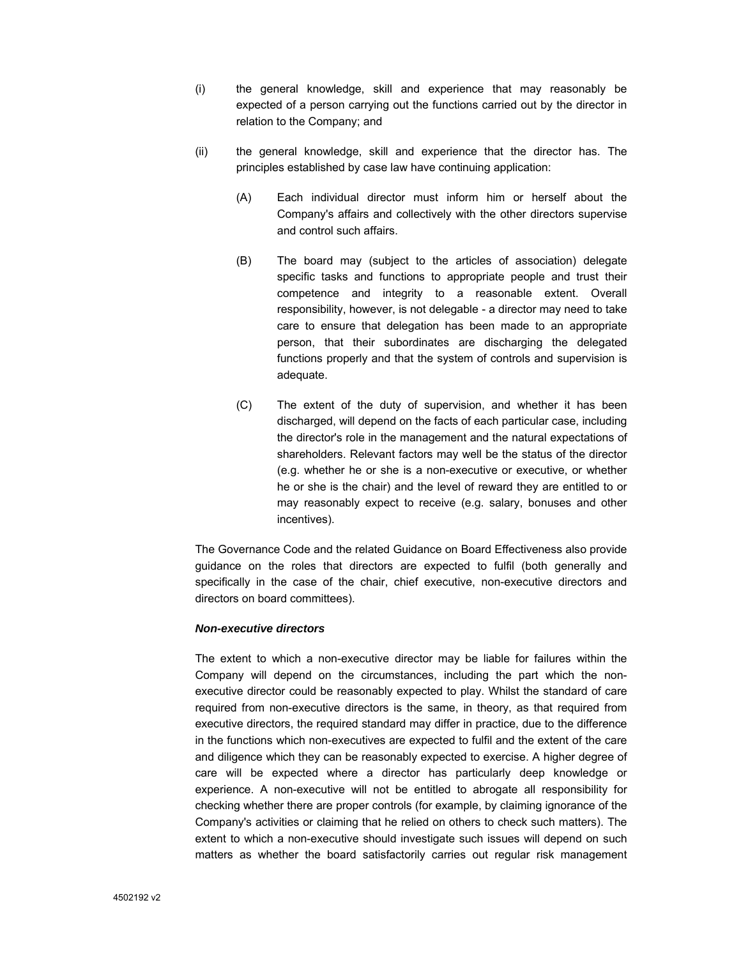- (i) the general knowledge, skill and experience that may reasonably be expected of a person carrying out the functions carried out by the director in relation to the Company; and
- (ii) the general knowledge, skill and experience that the director has. The principles established by case law have continuing application:
	- (A) Each individual director must inform him or herself about the Company's affairs and collectively with the other directors supervise and control such affairs.
	- (B) The board may (subject to the articles of association) delegate specific tasks and functions to appropriate people and trust their competence and integrity to a reasonable extent. Overall responsibility, however, is not delegable - a director may need to take care to ensure that delegation has been made to an appropriate person, that their subordinates are discharging the delegated functions properly and that the system of controls and supervision is adequate.
	- (C) The extent of the duty of supervision, and whether it has been discharged, will depend on the facts of each particular case, including the director's role in the management and the natural expectations of shareholders. Relevant factors may well be the status of the director (e.g. whether he or she is a non-executive or executive, or whether he or she is the chair) and the level of reward they are entitled to or may reasonably expect to receive (e.g. salary, bonuses and other incentives).

The Governance Code and the related Guidance on Board Effectiveness also provide guidance on the roles that directors are expected to fulfil (both generally and specifically in the case of the chair, chief executive, non-executive directors and directors on board committees).

#### *Non-executive directors*

The extent to which a non-executive director may be liable for failures within the Company will depend on the circumstances, including the part which the nonexecutive director could be reasonably expected to play. Whilst the standard of care required from non-executive directors is the same, in theory, as that required from executive directors, the required standard may differ in practice, due to the difference in the functions which non-executives are expected to fulfil and the extent of the care and diligence which they can be reasonably expected to exercise. A higher degree of care will be expected where a director has particularly deep knowledge or experience. A non-executive will not be entitled to abrogate all responsibility for checking whether there are proper controls (for example, by claiming ignorance of the Company's activities or claiming that he relied on others to check such matters). The extent to which a non-executive should investigate such issues will depend on such matters as whether the board satisfactorily carries out regular risk management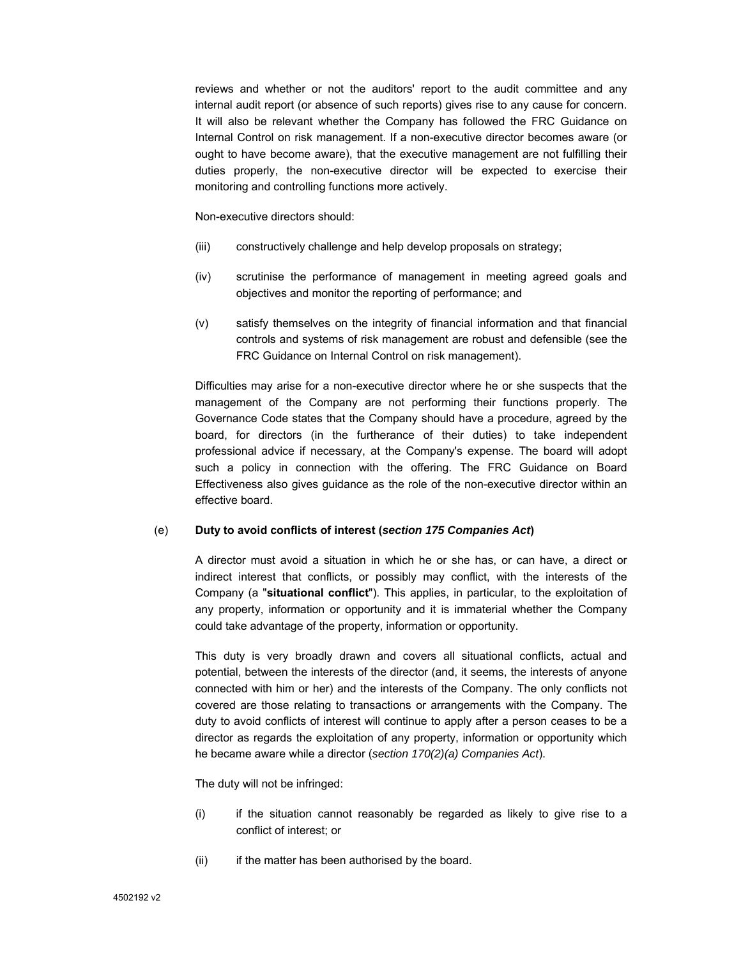reviews and whether or not the auditors' report to the audit committee and any internal audit report (or absence of such reports) gives rise to any cause for concern. It will also be relevant whether the Company has followed the FRC Guidance on Internal Control on risk management. If a non-executive director becomes aware (or ought to have become aware), that the executive management are not fulfilling their duties properly, the non-executive director will be expected to exercise their monitoring and controlling functions more actively.

Non-executive directors should:

- (iii) constructively challenge and help develop proposals on strategy;
- (iv) scrutinise the performance of management in meeting agreed goals and objectives and monitor the reporting of performance; and
- (v) satisfy themselves on the integrity of financial information and that financial controls and systems of risk management are robust and defensible (see the FRC Guidance on Internal Control on risk management).

Difficulties may arise for a non-executive director where he or she suspects that the management of the Company are not performing their functions properly. The Governance Code states that the Company should have a procedure, agreed by the board, for directors (in the furtherance of their duties) to take independent professional advice if necessary, at the Company's expense. The board will adopt such a policy in connection with the offering. The FRC Guidance on Board Effectiveness also gives guidance as the role of the non-executive director within an effective board.

#### (e) **Duty to avoid conflicts of interest (***section 175 Companies Act***)**

A director must avoid a situation in which he or she has, or can have, a direct or indirect interest that conflicts, or possibly may conflict, with the interests of the Company (a "**situational conflict**"). This applies, in particular, to the exploitation of any property, information or opportunity and it is immaterial whether the Company could take advantage of the property, information or opportunity.

This duty is very broadly drawn and covers all situational conflicts, actual and potential, between the interests of the director (and, it seems, the interests of anyone connected with him or her) and the interests of the Company. The only conflicts not covered are those relating to transactions or arrangements with the Company. The duty to avoid conflicts of interest will continue to apply after a person ceases to be a director as regards the exploitation of any property, information or opportunity which he became aware while a director (*section 170(2)(a) Companies Act*).

The duty will not be infringed:

- (i) if the situation cannot reasonably be regarded as likely to give rise to a conflict of interest; or
- (ii) if the matter has been authorised by the board.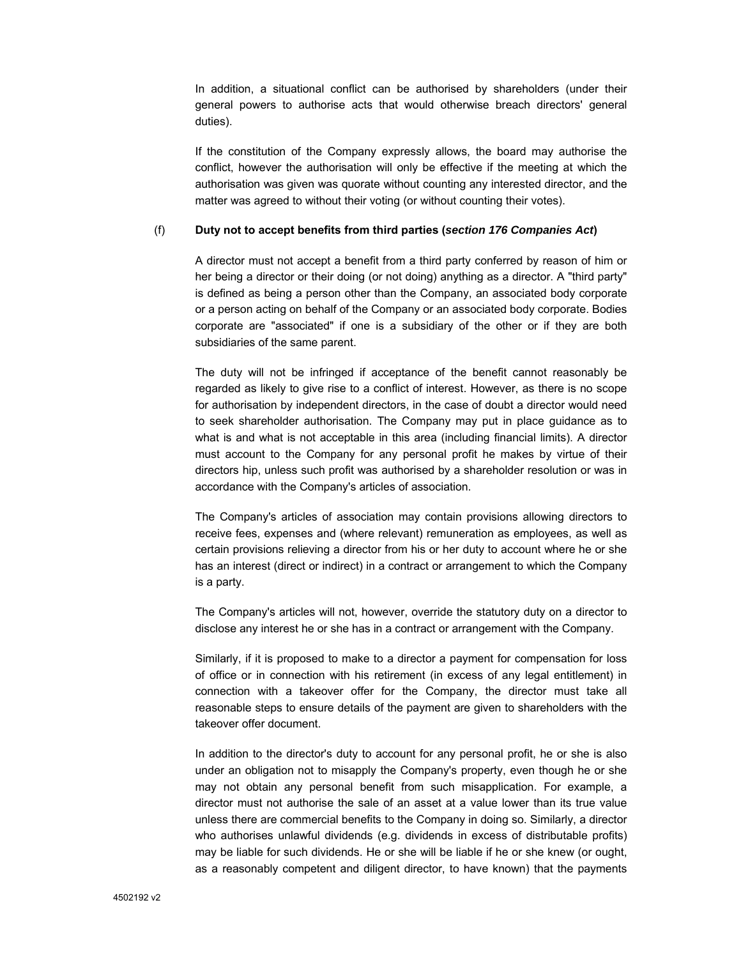In addition, a situational conflict can be authorised by shareholders (under their general powers to authorise acts that would otherwise breach directors' general duties).

If the constitution of the Company expressly allows, the board may authorise the conflict, however the authorisation will only be effective if the meeting at which the authorisation was given was quorate without counting any interested director, and the matter was agreed to without their voting (or without counting their votes).

#### (f) **Duty not to accept benefits from third parties (***section 176 Companies Act***)**

A director must not accept a benefit from a third party conferred by reason of him or her being a director or their doing (or not doing) anything as a director. A "third party" is defined as being a person other than the Company, an associated body corporate or a person acting on behalf of the Company or an associated body corporate. Bodies corporate are "associated" if one is a subsidiary of the other or if they are both subsidiaries of the same parent.

The duty will not be infringed if acceptance of the benefit cannot reasonably be regarded as likely to give rise to a conflict of interest. However, as there is no scope for authorisation by independent directors, in the case of doubt a director would need to seek shareholder authorisation. The Company may put in place guidance as to what is and what is not acceptable in this area (including financial limits). A director must account to the Company for any personal profit he makes by virtue of their directors hip, unless such profit was authorised by a shareholder resolution or was in accordance with the Company's articles of association.

The Company's articles of association may contain provisions allowing directors to receive fees, expenses and (where relevant) remuneration as employees, as well as certain provisions relieving a director from his or her duty to account where he or she has an interest (direct or indirect) in a contract or arrangement to which the Company is a party.

The Company's articles will not, however, override the statutory duty on a director to disclose any interest he or she has in a contract or arrangement with the Company.

Similarly, if it is proposed to make to a director a payment for compensation for loss of office or in connection with his retirement (in excess of any legal entitlement) in connection with a takeover offer for the Company, the director must take all reasonable steps to ensure details of the payment are given to shareholders with the takeover offer document.

In addition to the director's duty to account for any personal profit, he or she is also under an obligation not to misapply the Company's property, even though he or she may not obtain any personal benefit from such misapplication. For example, a director must not authorise the sale of an asset at a value lower than its true value unless there are commercial benefits to the Company in doing so. Similarly, a director who authorises unlawful dividends (e.g. dividends in excess of distributable profits) may be liable for such dividends. He or she will be liable if he or she knew (or ought, as a reasonably competent and diligent director, to have known) that the payments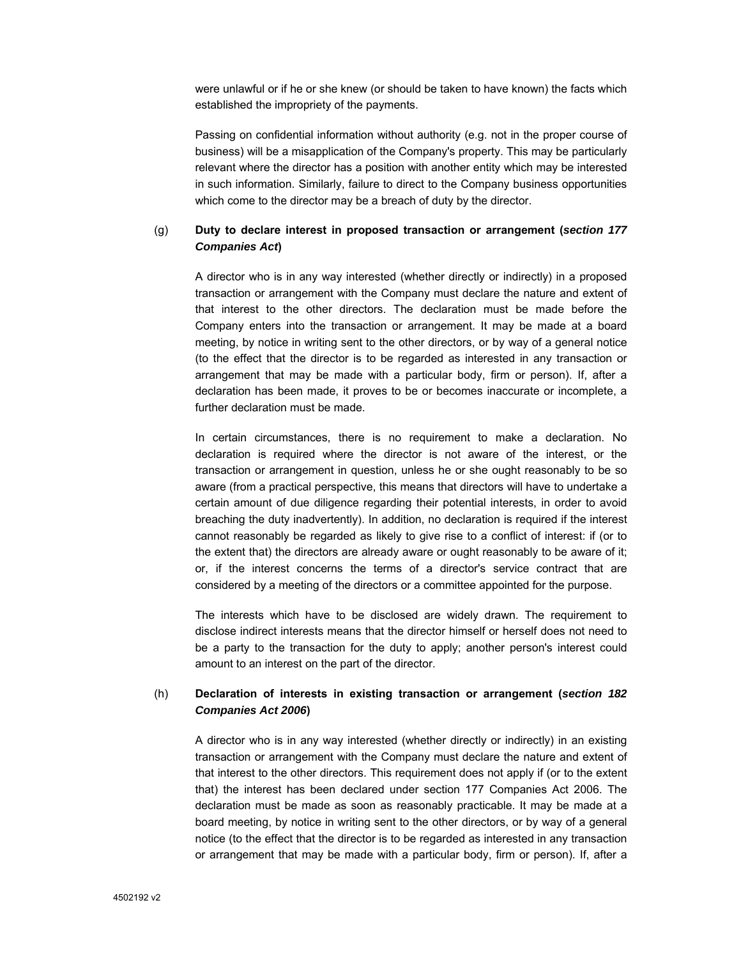were unlawful or if he or she knew (or should be taken to have known) the facts which established the impropriety of the payments.

Passing on confidential information without authority (e.g. not in the proper course of business) will be a misapplication of the Company's property. This may be particularly relevant where the director has a position with another entity which may be interested in such information. Similarly, failure to direct to the Company business opportunities which come to the director may be a breach of duty by the director.

# (g) **Duty to declare interest in proposed transaction or arrangement (***section 177 Companies Act***)**

A director who is in any way interested (whether directly or indirectly) in a proposed transaction or arrangement with the Company must declare the nature and extent of that interest to the other directors. The declaration must be made before the Company enters into the transaction or arrangement. It may be made at a board meeting, by notice in writing sent to the other directors, or by way of a general notice (to the effect that the director is to be regarded as interested in any transaction or arrangement that may be made with a particular body, firm or person). If, after a declaration has been made, it proves to be or becomes inaccurate or incomplete, a further declaration must be made.

In certain circumstances, there is no requirement to make a declaration. No declaration is required where the director is not aware of the interest, or the transaction or arrangement in question, unless he or she ought reasonably to be so aware (from a practical perspective, this means that directors will have to undertake a certain amount of due diligence regarding their potential interests, in order to avoid breaching the duty inadvertently). In addition, no declaration is required if the interest cannot reasonably be regarded as likely to give rise to a conflict of interest: if (or to the extent that) the directors are already aware or ought reasonably to be aware of it; or, if the interest concerns the terms of a director's service contract that are considered by a meeting of the directors or a committee appointed for the purpose.

The interests which have to be disclosed are widely drawn. The requirement to disclose indirect interests means that the director himself or herself does not need to be a party to the transaction for the duty to apply; another person's interest could amount to an interest on the part of the director.

# (h) **Declaration of interests in existing transaction or arrangement (***section 182 Companies Act 2006***)**

A director who is in any way interested (whether directly or indirectly) in an existing transaction or arrangement with the Company must declare the nature and extent of that interest to the other directors. This requirement does not apply if (or to the extent that) the interest has been declared under section 177 Companies Act 2006. The declaration must be made as soon as reasonably practicable. It may be made at a board meeting, by notice in writing sent to the other directors, or by way of a general notice (to the effect that the director is to be regarded as interested in any transaction or arrangement that may be made with a particular body, firm or person). If, after a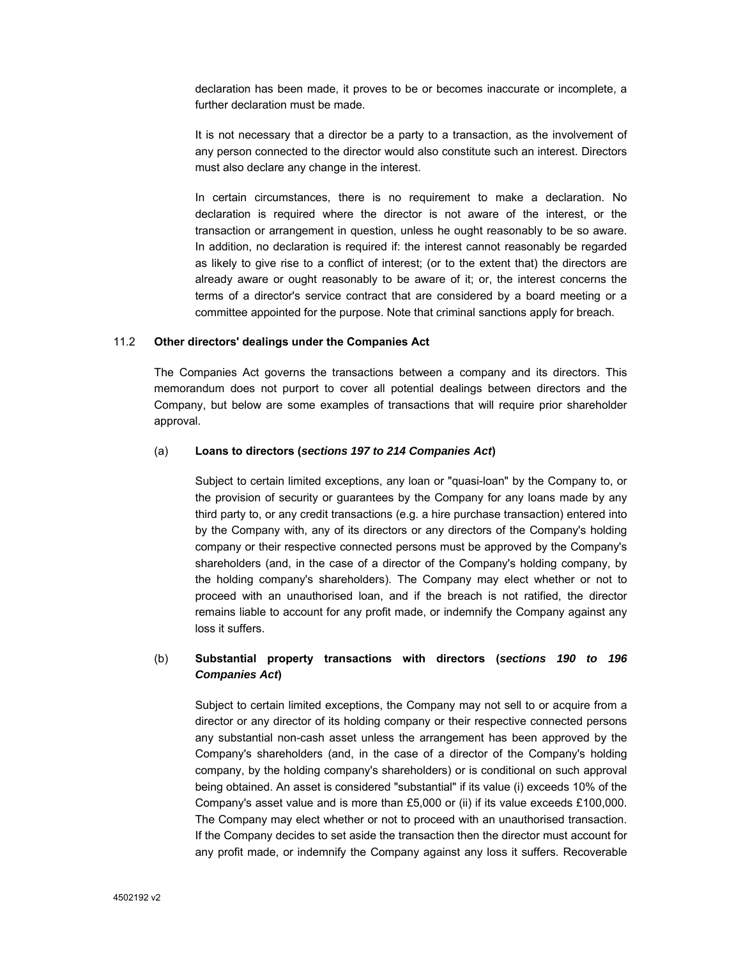declaration has been made, it proves to be or becomes inaccurate or incomplete, a further declaration must be made.

It is not necessary that a director be a party to a transaction, as the involvement of any person connected to the director would also constitute such an interest. Directors must also declare any change in the interest.

In certain circumstances, there is no requirement to make a declaration. No declaration is required where the director is not aware of the interest, or the transaction or arrangement in question, unless he ought reasonably to be so aware. In addition, no declaration is required if: the interest cannot reasonably be regarded as likely to give rise to a conflict of interest; (or to the extent that) the directors are already aware or ought reasonably to be aware of it; or, the interest concerns the terms of a director's service contract that are considered by a board meeting or a committee appointed for the purpose. Note that criminal sanctions apply for breach.

#### 11.2 **Other directors' dealings under the Companies Act**

The Companies Act governs the transactions between a company and its directors. This memorandum does not purport to cover all potential dealings between directors and the Company, but below are some examples of transactions that will require prior shareholder approval.

#### (a) **Loans to directors (***sections 197 to 214 Companies Act***)**

Subject to certain limited exceptions, any loan or "quasi-loan" by the Company to, or the provision of security or guarantees by the Company for any loans made by any third party to, or any credit transactions (e.g. a hire purchase transaction) entered into by the Company with, any of its directors or any directors of the Company's holding company or their respective connected persons must be approved by the Company's shareholders (and, in the case of a director of the Company's holding company, by the holding company's shareholders). The Company may elect whether or not to proceed with an unauthorised loan, and if the breach is not ratified, the director remains liable to account for any profit made, or indemnify the Company against any loss it suffers.

# (b) **Substantial property transactions with directors (***sections 190 to 196 Companies Act***)**

Subject to certain limited exceptions, the Company may not sell to or acquire from a director or any director of its holding company or their respective connected persons any substantial non-cash asset unless the arrangement has been approved by the Company's shareholders (and, in the case of a director of the Company's holding company, by the holding company's shareholders) or is conditional on such approval being obtained. An asset is considered "substantial" if its value (i) exceeds 10% of the Company's asset value and is more than £5,000 or (ii) if its value exceeds £100,000. The Company may elect whether or not to proceed with an unauthorised transaction. If the Company decides to set aside the transaction then the director must account for any profit made, or indemnify the Company against any loss it suffers. Recoverable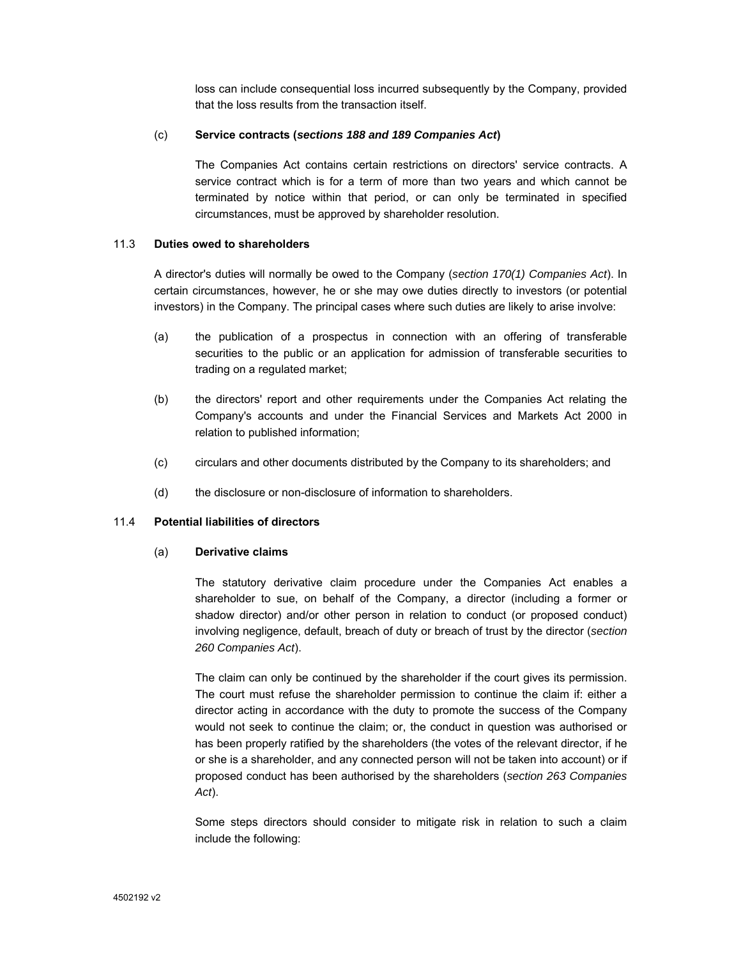loss can include consequential loss incurred subsequently by the Company, provided that the loss results from the transaction itself.

### (c) **Service contracts (***sections 188 and 189 Companies Act***)**

The Companies Act contains certain restrictions on directors' service contracts. A service contract which is for a term of more than two years and which cannot be terminated by notice within that period, or can only be terminated in specified circumstances, must be approved by shareholder resolution.

#### 11.3 **Duties owed to shareholders**

A director's duties will normally be owed to the Company (*section 170(1) Companies Act*). In certain circumstances, however, he or she may owe duties directly to investors (or potential investors) in the Company. The principal cases where such duties are likely to arise involve:

- (a) the publication of a prospectus in connection with an offering of transferable securities to the public or an application for admission of transferable securities to trading on a regulated market;
- (b) the directors' report and other requirements under the Companies Act relating the Company's accounts and under the Financial Services and Markets Act 2000 in relation to published information;
- (c) circulars and other documents distributed by the Company to its shareholders; and
- (d) the disclosure or non-disclosure of information to shareholders.

# 11.4 **Potential liabilities of directors**

# (a) **Derivative claims**

The statutory derivative claim procedure under the Companies Act enables a shareholder to sue, on behalf of the Company, a director (including a former or shadow director) and/or other person in relation to conduct (or proposed conduct) involving negligence, default, breach of duty or breach of trust by the director (*section 260 Companies Act*).

The claim can only be continued by the shareholder if the court gives its permission. The court must refuse the shareholder permission to continue the claim if: either a director acting in accordance with the duty to promote the success of the Company would not seek to continue the claim; or, the conduct in question was authorised or has been properly ratified by the shareholders (the votes of the relevant director, if he or she is a shareholder, and any connected person will not be taken into account) or if proposed conduct has been authorised by the shareholders (*section 263 Companies Act*).

Some steps directors should consider to mitigate risk in relation to such a claim include the following: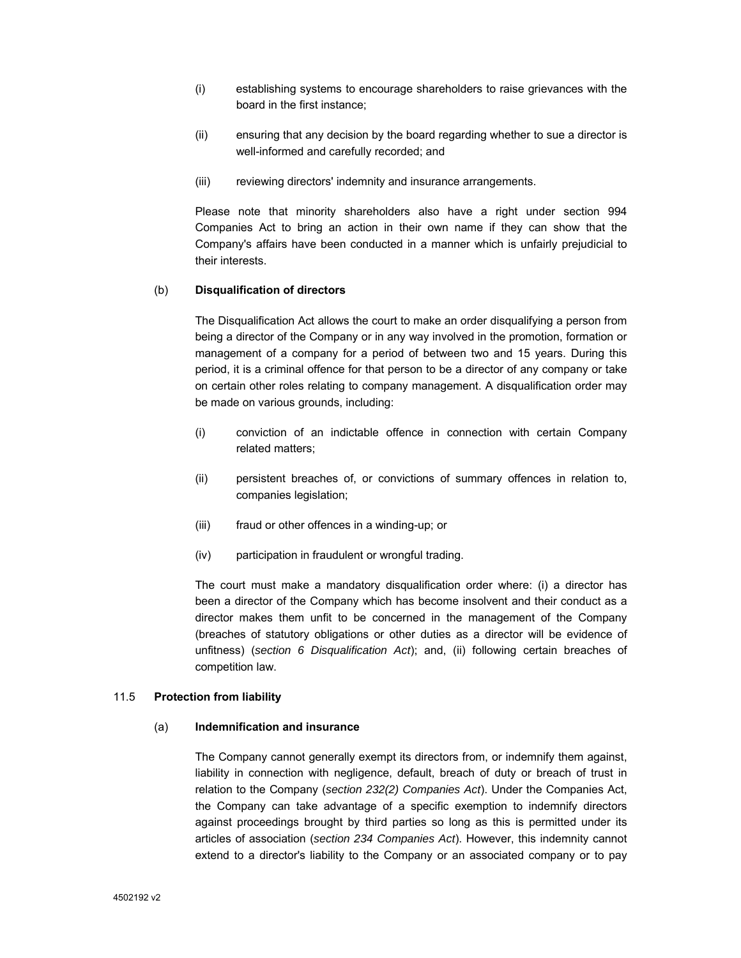- (i) establishing systems to encourage shareholders to raise grievances with the board in the first instance;
- (ii) ensuring that any decision by the board regarding whether to sue a director is well-informed and carefully recorded; and
- (iii) reviewing directors' indemnity and insurance arrangements.

Please note that minority shareholders also have a right under section 994 Companies Act to bring an action in their own name if they can show that the Company's affairs have been conducted in a manner which is unfairly prejudicial to their interests.

#### (b) **Disqualification of directors**

The Disqualification Act allows the court to make an order disqualifying a person from being a director of the Company or in any way involved in the promotion, formation or management of a company for a period of between two and 15 years. During this period, it is a criminal offence for that person to be a director of any company or take on certain other roles relating to company management. A disqualification order may be made on various grounds, including:

- (i) conviction of an indictable offence in connection with certain Company related matters;
- (ii) persistent breaches of, or convictions of summary offences in relation to, companies legislation;
- (iii) fraud or other offences in a winding-up; or
- (iv) participation in fraudulent or wrongful trading.

The court must make a mandatory disqualification order where: (i) a director has been a director of the Company which has become insolvent and their conduct as a director makes them unfit to be concerned in the management of the Company (breaches of statutory obligations or other duties as a director will be evidence of unfitness) (*section 6 Disqualification Act*); and, (ii) following certain breaches of competition law.

#### 11.5 **Protection from liability**

#### (a) **Indemnification and insurance**

The Company cannot generally exempt its directors from, or indemnify them against, liability in connection with negligence, default, breach of duty or breach of trust in relation to the Company (*section 232(2) Companies Act*). Under the Companies Act, the Company can take advantage of a specific exemption to indemnify directors against proceedings brought by third parties so long as this is permitted under its articles of association (*section 234 Companies Act*). However, this indemnity cannot extend to a director's liability to the Company or an associated company or to pay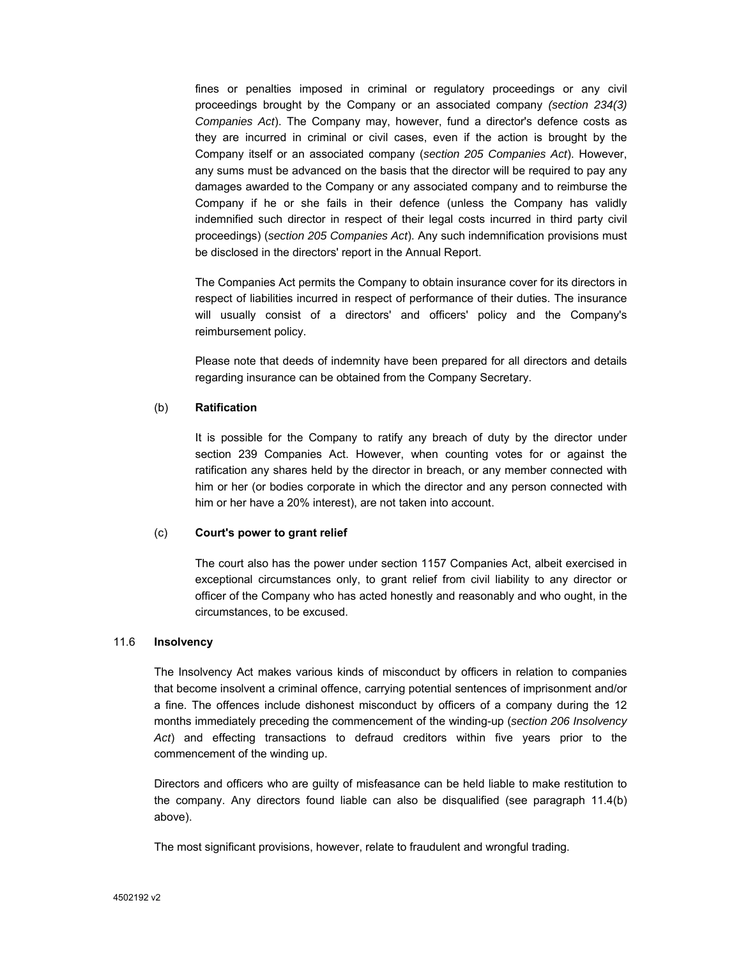fines or penalties imposed in criminal or regulatory proceedings or any civil proceedings brought by the Company or an associated company *(section 234(3) Companies Act*). The Company may, however, fund a director's defence costs as they are incurred in criminal or civil cases, even if the action is brought by the Company itself or an associated company (*section 205 Companies Act*). However, any sums must be advanced on the basis that the director will be required to pay any damages awarded to the Company or any associated company and to reimburse the Company if he or she fails in their defence (unless the Company has validly indemnified such director in respect of their legal costs incurred in third party civil proceedings) (*section 205 Companies Act*). Any such indemnification provisions must be disclosed in the directors' report in the Annual Report.

The Companies Act permits the Company to obtain insurance cover for its directors in respect of liabilities incurred in respect of performance of their duties. The insurance will usually consist of a directors' and officers' policy and the Company's reimbursement policy.

Please note that deeds of indemnity have been prepared for all directors and details regarding insurance can be obtained from the Company Secretary.

#### (b) **Ratification**

It is possible for the Company to ratify any breach of duty by the director under section 239 Companies Act. However, when counting votes for or against the ratification any shares held by the director in breach, or any member connected with him or her (or bodies corporate in which the director and any person connected with him or her have a 20% interest), are not taken into account.

#### (c) **Court's power to grant relief**

The court also has the power under section 1157 Companies Act, albeit exercised in exceptional circumstances only, to grant relief from civil liability to any director or officer of the Company who has acted honestly and reasonably and who ought, in the circumstances, to be excused.

#### 11.6 **Insolvency**

The Insolvency Act makes various kinds of misconduct by officers in relation to companies that become insolvent a criminal offence, carrying potential sentences of imprisonment and/or a fine. The offences include dishonest misconduct by officers of a company during the 12 months immediately preceding the commencement of the winding-up (*section 206 Insolvency Act*) and effecting transactions to defraud creditors within five years prior to the commencement of the winding up.

Directors and officers who are guilty of misfeasance can be held liable to make restitution to the company. Any directors found liable can also be disqualified (see paragraph 11.4(b) above).

The most significant provisions, however, relate to fraudulent and wrongful trading.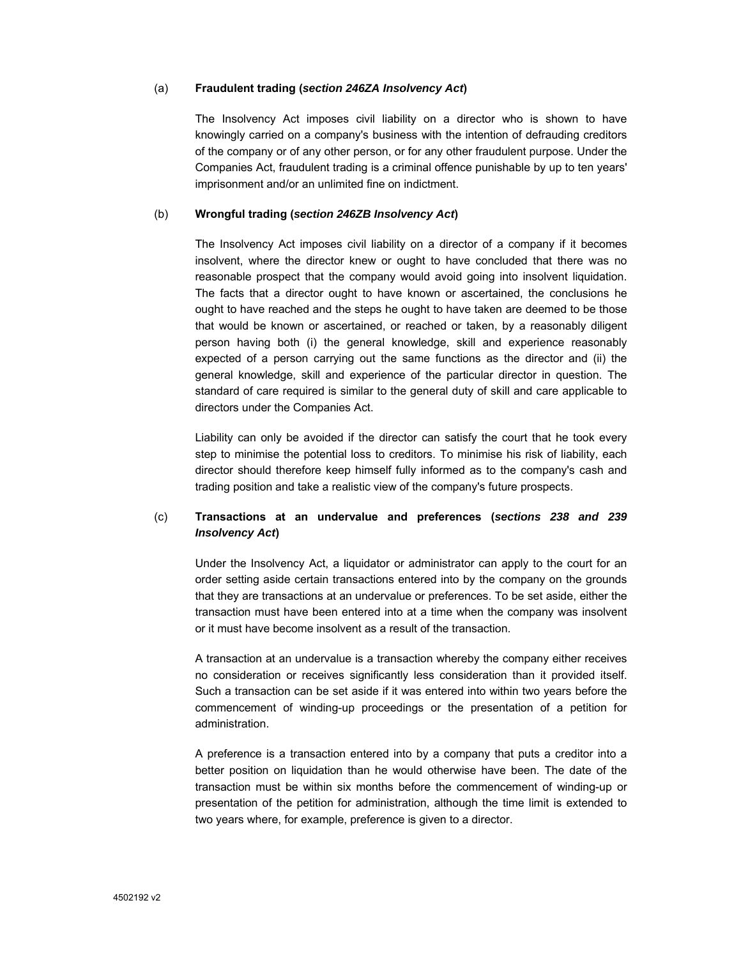#### (a) **Fraudulent trading (***section 246ZA Insolvency Act***)**

The Insolvency Act imposes civil liability on a director who is shown to have knowingly carried on a company's business with the intention of defrauding creditors of the company or of any other person, or for any other fraudulent purpose. Under the Companies Act, fraudulent trading is a criminal offence punishable by up to ten years' imprisonment and/or an unlimited fine on indictment.

# (b) **Wrongful trading (***section 246ZB Insolvency Act***)**

The Insolvency Act imposes civil liability on a director of a company if it becomes insolvent, where the director knew or ought to have concluded that there was no reasonable prospect that the company would avoid going into insolvent liquidation. The facts that a director ought to have known or ascertained, the conclusions he ought to have reached and the steps he ought to have taken are deemed to be those that would be known or ascertained, or reached or taken, by a reasonably diligent person having both (i) the general knowledge, skill and experience reasonably expected of a person carrying out the same functions as the director and (ii) the general knowledge, skill and experience of the particular director in question. The standard of care required is similar to the general duty of skill and care applicable to directors under the Companies Act.

Liability can only be avoided if the director can satisfy the court that he took every step to minimise the potential loss to creditors. To minimise his risk of liability, each director should therefore keep himself fully informed as to the company's cash and trading position and take a realistic view of the company's future prospects.

# (c) **Transactions at an undervalue and preferences (***sections 238 and 239 Insolvency Act***)**

Under the Insolvency Act, a liquidator or administrator can apply to the court for an order setting aside certain transactions entered into by the company on the grounds that they are transactions at an undervalue or preferences. To be set aside, either the transaction must have been entered into at a time when the company was insolvent or it must have become insolvent as a result of the transaction.

A transaction at an undervalue is a transaction whereby the company either receives no consideration or receives significantly less consideration than it provided itself. Such a transaction can be set aside if it was entered into within two years before the commencement of winding-up proceedings or the presentation of a petition for administration.

A preference is a transaction entered into by a company that puts a creditor into a better position on liquidation than he would otherwise have been. The date of the transaction must be within six months before the commencement of winding-up or presentation of the petition for administration, although the time limit is extended to two years where, for example, preference is given to a director.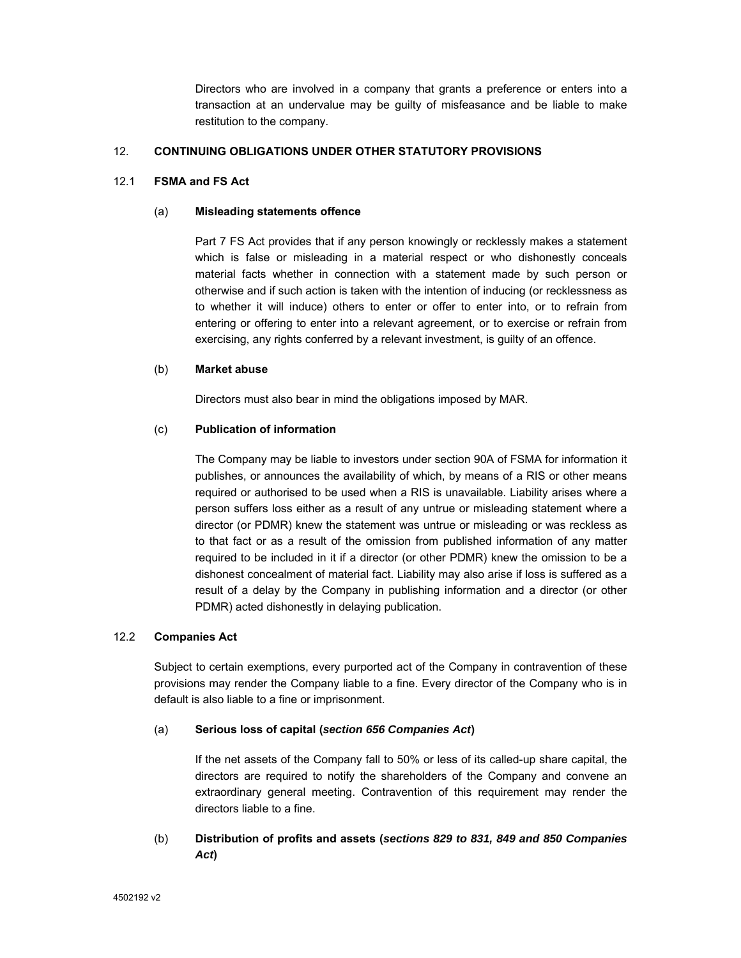Directors who are involved in a company that grants a preference or enters into a transaction at an undervalue may be guilty of misfeasance and be liable to make restitution to the company.

# 12. **CONTINUING OBLIGATIONS UNDER OTHER STATUTORY PROVISIONS**

# 12.1 **FSMA and FS Act**

### (a) **Misleading statements offence**

Part 7 FS Act provides that if any person knowingly or recklessly makes a statement which is false or misleading in a material respect or who dishonestly conceals material facts whether in connection with a statement made by such person or otherwise and if such action is taken with the intention of inducing (or recklessness as to whether it will induce) others to enter or offer to enter into, or to refrain from entering or offering to enter into a relevant agreement, or to exercise or refrain from exercising, any rights conferred by a relevant investment, is guilty of an offence.

# (b) **Market abuse**

Directors must also bear in mind the obligations imposed by MAR.

# (c) **Publication of information**

The Company may be liable to investors under section 90A of FSMA for information it publishes, or announces the availability of which, by means of a RIS or other means required or authorised to be used when a RIS is unavailable. Liability arises where a person suffers loss either as a result of any untrue or misleading statement where a director (or PDMR) knew the statement was untrue or misleading or was reckless as to that fact or as a result of the omission from published information of any matter required to be included in it if a director (or other PDMR) knew the omission to be a dishonest concealment of material fact. Liability may also arise if loss is suffered as a result of a delay by the Company in publishing information and a director (or other PDMR) acted dishonestly in delaying publication.

# 12.2 **Companies Act**

Subject to certain exemptions, every purported act of the Company in contravention of these provisions may render the Company liable to a fine. Every director of the Company who is in default is also liable to a fine or imprisonment.

#### (a) **Serious loss of capital (***section 656 Companies Act***)**

If the net assets of the Company fall to 50% or less of its called-up share capital, the directors are required to notify the shareholders of the Company and convene an extraordinary general meeting. Contravention of this requirement may render the directors liable to a fine.

(b) **Distribution of profits and assets (***sections 829 to 831, 849 and 850 Companies Act***)**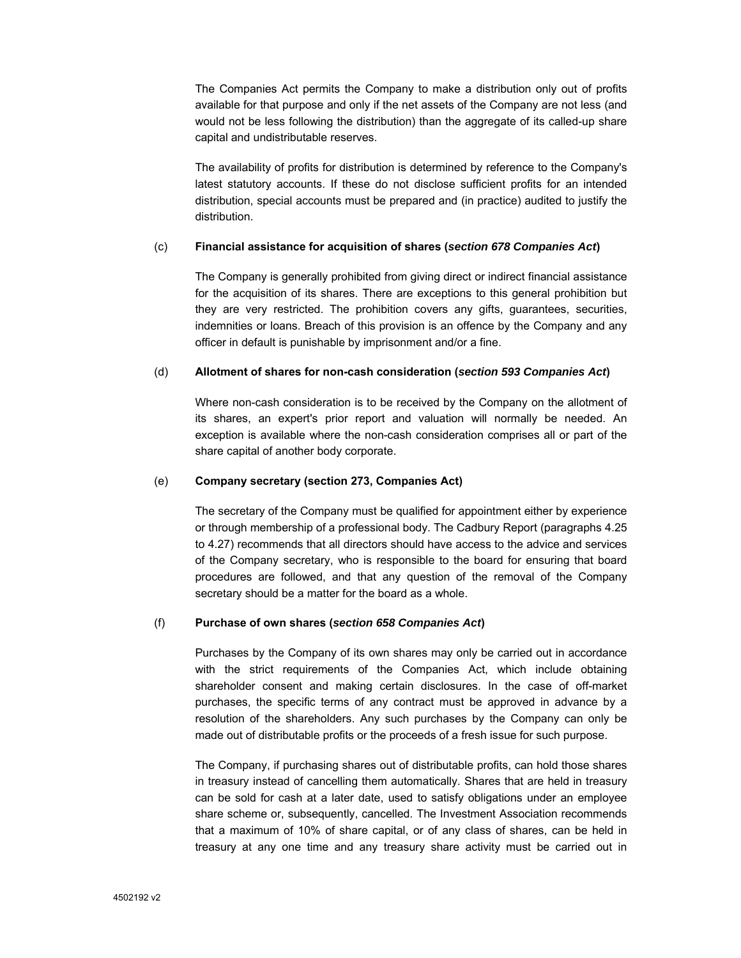The Companies Act permits the Company to make a distribution only out of profits available for that purpose and only if the net assets of the Company are not less (and would not be less following the distribution) than the aggregate of its called-up share capital and undistributable reserves.

The availability of profits for distribution is determined by reference to the Company's latest statutory accounts. If these do not disclose sufficient profits for an intended distribution, special accounts must be prepared and (in practice) audited to justify the distribution.

# (c) **Financial assistance for acquisition of shares (***section 678 Companies Act***)**

The Company is generally prohibited from giving direct or indirect financial assistance for the acquisition of its shares. There are exceptions to this general prohibition but they are very restricted. The prohibition covers any gifts, guarantees, securities, indemnities or loans. Breach of this provision is an offence by the Company and any officer in default is punishable by imprisonment and/or a fine.

# (d) **Allotment of shares for non-cash consideration (***section 593 Companies Act***)**

Where non-cash consideration is to be received by the Company on the allotment of its shares, an expert's prior report and valuation will normally be needed. An exception is available where the non-cash consideration comprises all or part of the share capital of another body corporate.

### (e) **Company secretary (section 273, Companies Act)**

The secretary of the Company must be qualified for appointment either by experience or through membership of a professional body. The Cadbury Report (paragraphs 4.25 to 4.27) recommends that all directors should have access to the advice and services of the Company secretary, who is responsible to the board for ensuring that board procedures are followed, and that any question of the removal of the Company secretary should be a matter for the board as a whole.

#### (f) **Purchase of own shares (***section 658 Companies Act***)**

Purchases by the Company of its own shares may only be carried out in accordance with the strict requirements of the Companies Act, which include obtaining shareholder consent and making certain disclosures. In the case of off-market purchases, the specific terms of any contract must be approved in advance by a resolution of the shareholders. Any such purchases by the Company can only be made out of distributable profits or the proceeds of a fresh issue for such purpose.

The Company, if purchasing shares out of distributable profits, can hold those shares in treasury instead of cancelling them automatically. Shares that are held in treasury can be sold for cash at a later date, used to satisfy obligations under an employee share scheme or, subsequently, cancelled. The Investment Association recommends that a maximum of 10% of share capital, or of any class of shares, can be held in treasury at any one time and any treasury share activity must be carried out in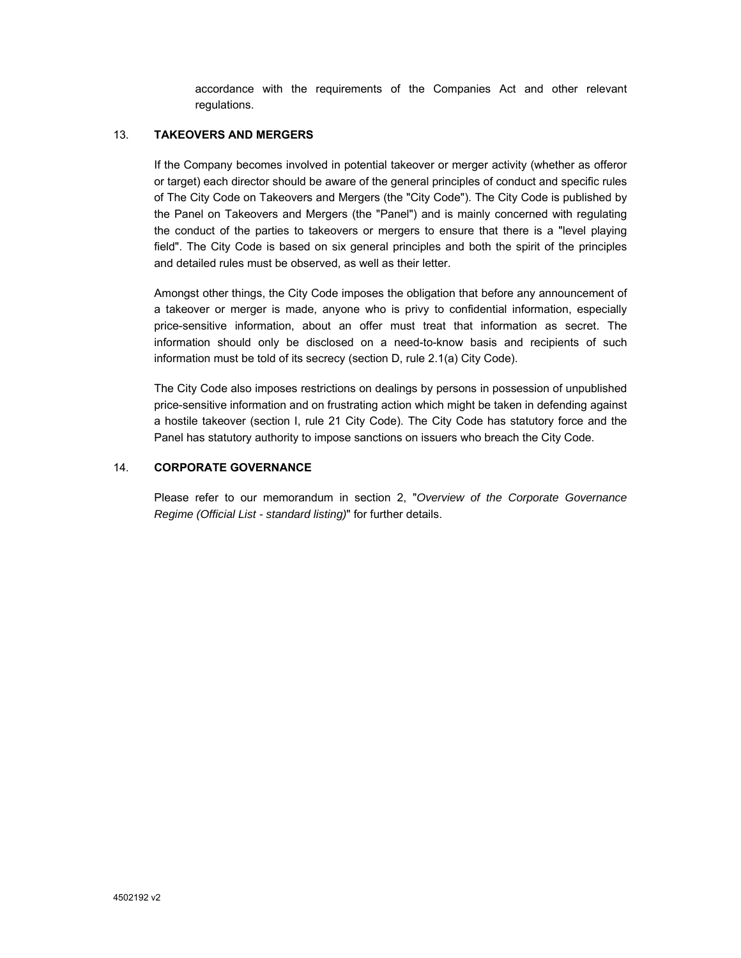accordance with the requirements of the Companies Act and other relevant regulations.

# 13. **TAKEOVERS AND MERGERS**

If the Company becomes involved in potential takeover or merger activity (whether as offeror or target) each director should be aware of the general principles of conduct and specific rules of The City Code on Takeovers and Mergers (the "City Code"). The City Code is published by the Panel on Takeovers and Mergers (the "Panel") and is mainly concerned with regulating the conduct of the parties to takeovers or mergers to ensure that there is a "level playing field". The City Code is based on six general principles and both the spirit of the principles and detailed rules must be observed, as well as their letter.

Amongst other things, the City Code imposes the obligation that before any announcement of a takeover or merger is made, anyone who is privy to confidential information, especially price-sensitive information, about an offer must treat that information as secret. The information should only be disclosed on a need-to-know basis and recipients of such information must be told of its secrecy (section D, rule 2.1(a) City Code).

The City Code also imposes restrictions on dealings by persons in possession of unpublished price-sensitive information and on frustrating action which might be taken in defending against a hostile takeover (section I, rule 21 City Code). The City Code has statutory force and the Panel has statutory authority to impose sanctions on issuers who breach the City Code.

# 14. **CORPORATE GOVERNANCE**

Please refer to our memorandum in section 2, "*Overview of the Corporate Governance Regime (Official List - standard listing)*" for further details.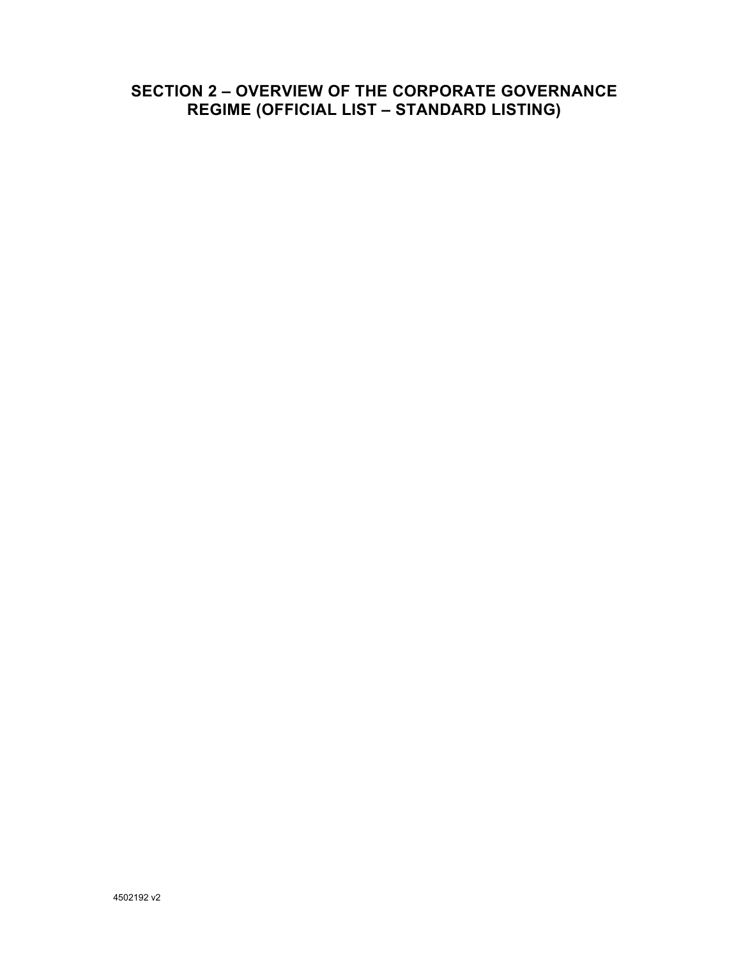# **SECTION 2 – OVERVIEW OF THE CORPORATE GOVERNANCE REGIME (OFFICIAL LIST – STANDARD LISTING)**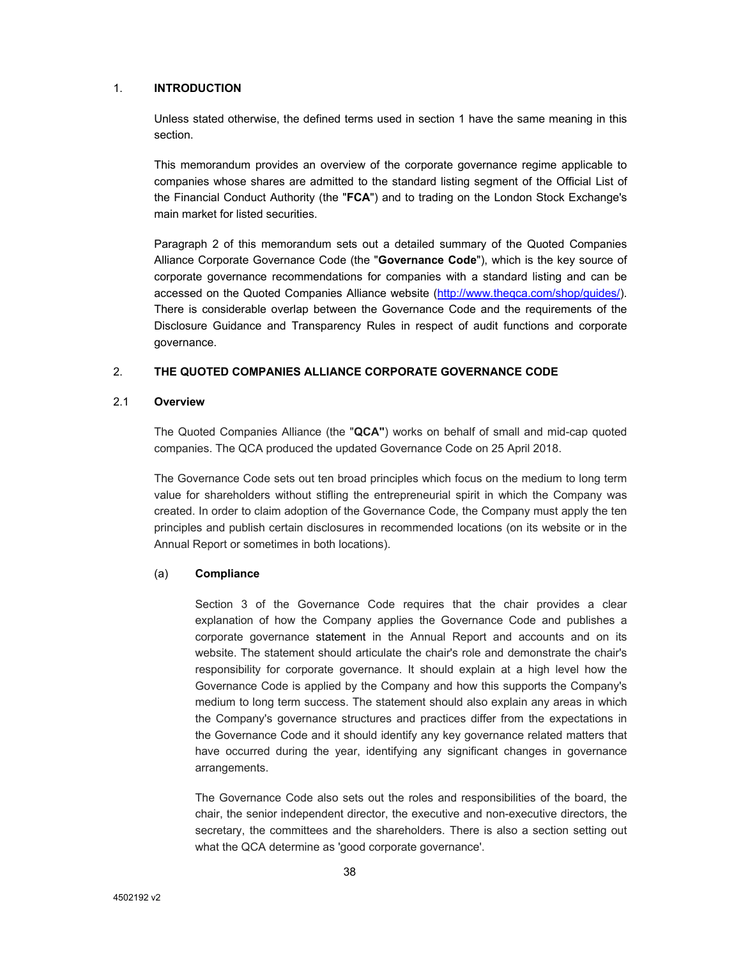# 1. **INTRODUCTION**

Unless stated otherwise, the defined terms used in section 1 have the same meaning in this section.

This memorandum provides an overview of the corporate governance regime applicable to companies whose shares are admitted to the standard listing segment of the Official List of the Financial Conduct Authority (the "**FCA**") and to trading on the London Stock Exchange's main market for listed securities.

Paragraph 2 of this memorandum sets out a detailed summary of the Quoted Companies Alliance Corporate Governance Code (the "**Governance Code**"), which is the key source of corporate governance recommendations for companies with a standard listing and can be accessed on the Quoted Companies Alliance website (http://www.theqca.com/shop/guides/). There is considerable overlap between the Governance Code and the requirements of the Disclosure Guidance and Transparency Rules in respect of audit functions and corporate governance.

# 2. **THE QUOTED COMPANIES ALLIANCE CORPORATE GOVERNANCE CODE**

# 2.1 **Overview**

The Quoted Companies Alliance (the "**QCA"**) works on behalf of small and mid-cap quoted companies. The QCA produced the updated Governance Code on 25 April 2018.

The Governance Code sets out ten broad principles which focus on the medium to long term value for shareholders without stifling the entrepreneurial spirit in which the Company was created. In order to claim adoption of the Governance Code, the Company must apply the ten principles and publish certain disclosures in recommended locations (on its website or in the Annual Report or sometimes in both locations).

#### (a) **Compliance**

Section 3 of the Governance Code requires that the chair provides a clear explanation of how the Company applies the Governance Code and publishes a corporate governance statement in the Annual Report and accounts and on its website. The statement should articulate the chair's role and demonstrate the chair's responsibility for corporate governance. It should explain at a high level how the Governance Code is applied by the Company and how this supports the Company's medium to long term success. The statement should also explain any areas in which the Company's governance structures and practices differ from the expectations in the Governance Code and it should identify any key governance related matters that have occurred during the year, identifying any significant changes in governance arrangements.

The Governance Code also sets out the roles and responsibilities of the board, the chair, the senior independent director, the executive and non-executive directors, the secretary, the committees and the shareholders. There is also a section setting out what the QCA determine as 'good corporate governance'.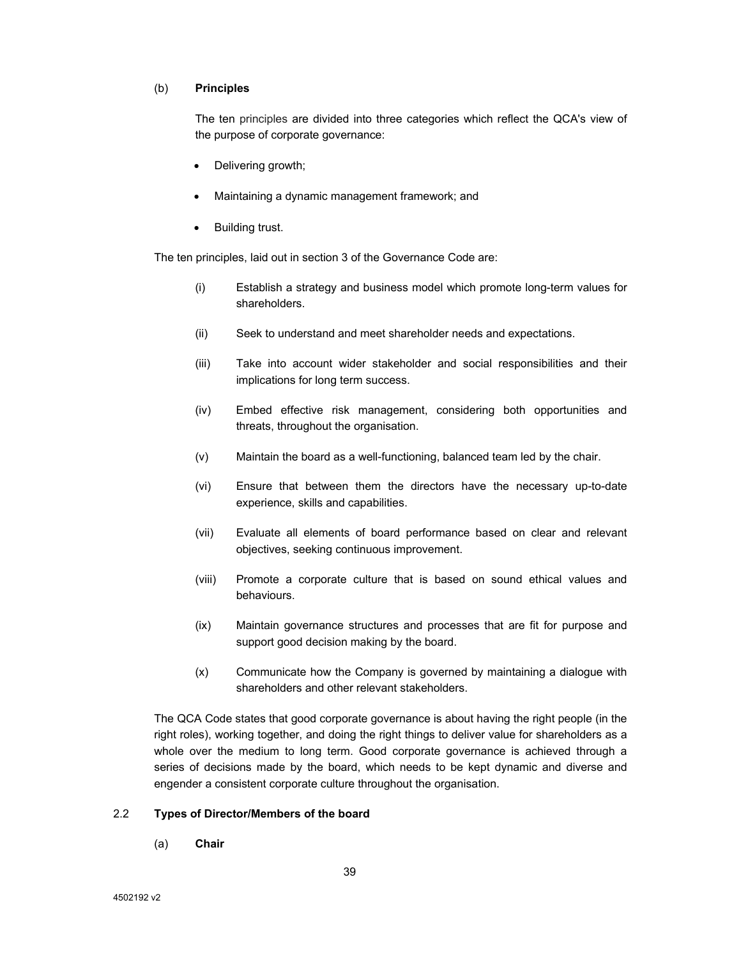# (b) **Principles**

The ten principles are divided into three categories which reflect the QCA's view of the purpose of corporate governance:

- Delivering growth;
- Maintaining a dynamic management framework; and
- Building trust.

The ten principles, laid out in section 3 of the Governance Code are:

- (i) Establish a strategy and business model which promote long-term values for shareholders.
- (ii) Seek to understand and meet shareholder needs and expectations.
- (iii) Take into account wider stakeholder and social responsibilities and their implications for long term success.
- (iv) Embed effective risk management, considering both opportunities and threats, throughout the organisation.
- (v) Maintain the board as a well-functioning, balanced team led by the chair.
- (vi) Ensure that between them the directors have the necessary up-to-date experience, skills and capabilities.
- (vii) Evaluate all elements of board performance based on clear and relevant objectives, seeking continuous improvement.
- (viii) Promote a corporate culture that is based on sound ethical values and behaviours.
- (ix) Maintain governance structures and processes that are fit for purpose and support good decision making by the board.
- (x) Communicate how the Company is governed by maintaining a dialogue with shareholders and other relevant stakeholders.

The QCA Code states that good corporate governance is about having the right people (in the right roles), working together, and doing the right things to deliver value for shareholders as a whole over the medium to long term. Good corporate governance is achieved through a series of decisions made by the board, which needs to be kept dynamic and diverse and engender a consistent corporate culture throughout the organisation.

# 2.2 **Types of Director/Members of the board**

(a) **Chair**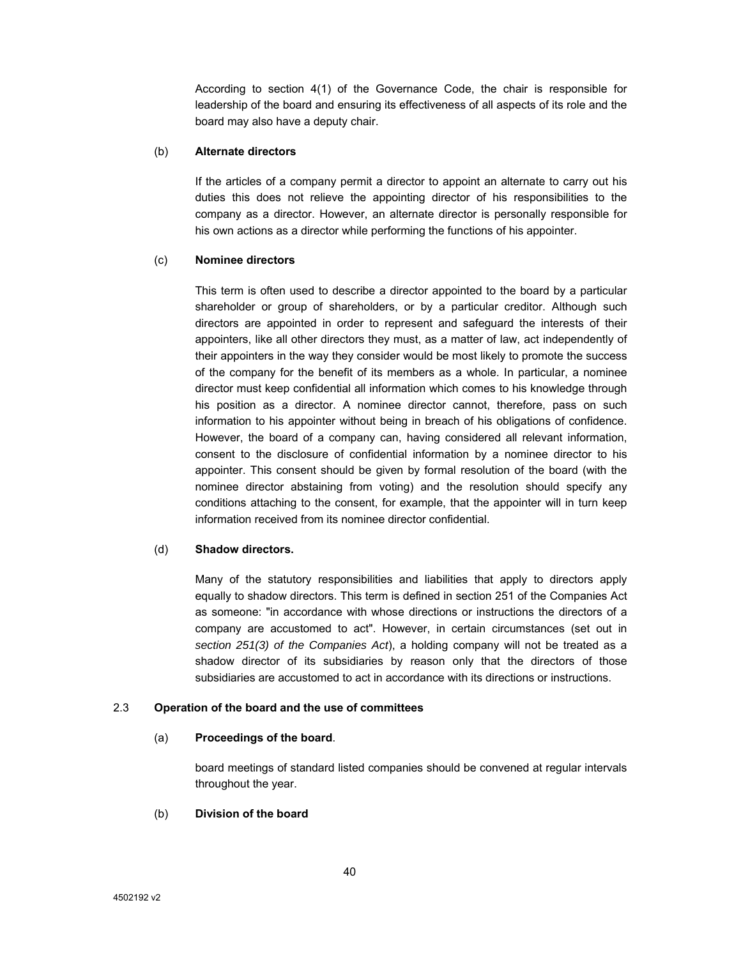According to section 4(1) of the Governance Code, the chair is responsible for leadership of the board and ensuring its effectiveness of all aspects of its role and the board may also have a deputy chair.

#### (b) **Alternate directors**

If the articles of a company permit a director to appoint an alternate to carry out his duties this does not relieve the appointing director of his responsibilities to the company as a director. However, an alternate director is personally responsible for his own actions as a director while performing the functions of his appointer.

# (c) **Nominee directors**

This term is often used to describe a director appointed to the board by a particular shareholder or group of shareholders, or by a particular creditor. Although such directors are appointed in order to represent and safeguard the interests of their appointers, like all other directors they must, as a matter of law, act independently of their appointers in the way they consider would be most likely to promote the success of the company for the benefit of its members as a whole. In particular, a nominee director must keep confidential all information which comes to his knowledge through his position as a director. A nominee director cannot, therefore, pass on such information to his appointer without being in breach of his obligations of confidence. However, the board of a company can, having considered all relevant information, consent to the disclosure of confidential information by a nominee director to his appointer. This consent should be given by formal resolution of the board (with the nominee director abstaining from voting) and the resolution should specify any conditions attaching to the consent, for example, that the appointer will in turn keep information received from its nominee director confidential.

# (d) **Shadow directors.**

Many of the statutory responsibilities and liabilities that apply to directors apply equally to shadow directors. This term is defined in section 251 of the Companies Act as someone: "in accordance with whose directions or instructions the directors of a company are accustomed to act". However, in certain circumstances (set out in *section 251(3) of the Companies Act*), a holding company will not be treated as a shadow director of its subsidiaries by reason only that the directors of those subsidiaries are accustomed to act in accordance with its directions or instructions.

# 2.3 **Operation of the board and the use of committees**

#### (a) **Proceedings of the board**.

board meetings of standard listed companies should be convened at regular intervals throughout the year.

# (b) **Division of the board**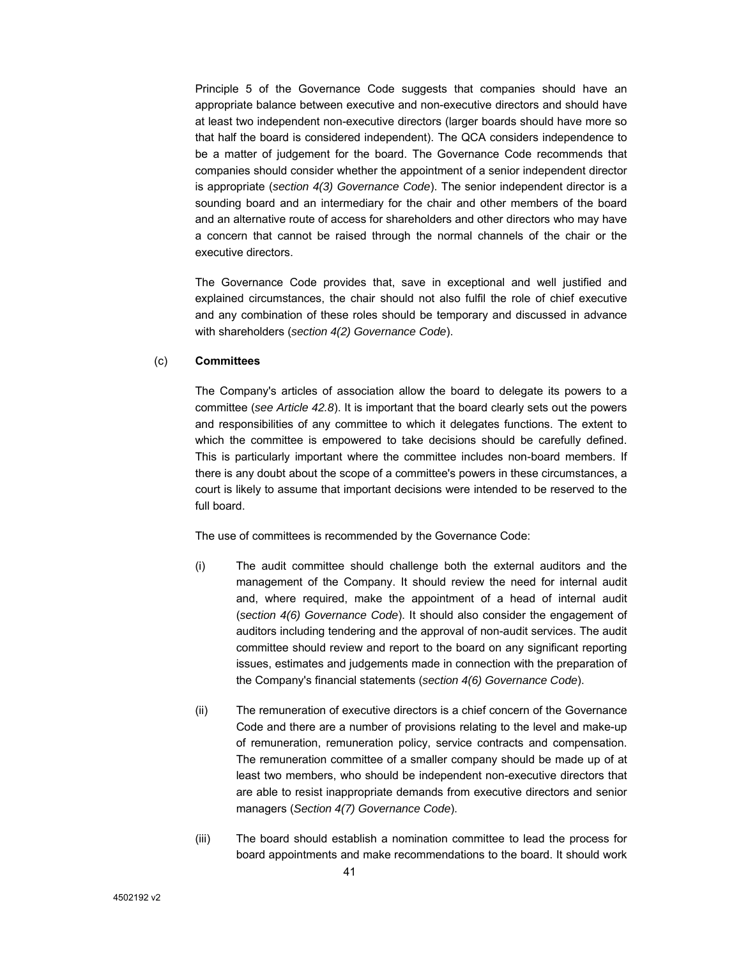Principle 5 of the Governance Code suggests that companies should have an appropriate balance between executive and non-executive directors and should have at least two independent non-executive directors (larger boards should have more so that half the board is considered independent). The QCA considers independence to be a matter of judgement for the board. The Governance Code recommends that companies should consider whether the appointment of a senior independent director is appropriate (*section 4(3) Governance Code*). The senior independent director is a sounding board and an intermediary for the chair and other members of the board and an alternative route of access for shareholders and other directors who may have a concern that cannot be raised through the normal channels of the chair or the executive directors.

The Governance Code provides that, save in exceptional and well justified and explained circumstances, the chair should not also fulfil the role of chief executive and any combination of these roles should be temporary and discussed in advance with shareholders (*section 4(2) Governance Code*).

# (c) **Committees**

The Company's articles of association allow the board to delegate its powers to a committee (*see Article 42.8*). It is important that the board clearly sets out the powers and responsibilities of any committee to which it delegates functions. The extent to which the committee is empowered to take decisions should be carefully defined. This is particularly important where the committee includes non-board members. If there is any doubt about the scope of a committee's powers in these circumstances, a court is likely to assume that important decisions were intended to be reserved to the full board.

The use of committees is recommended by the Governance Code:

- (i) The audit committee should challenge both the external auditors and the management of the Company. It should review the need for internal audit and, where required, make the appointment of a head of internal audit (*section 4(6) Governance Code*). It should also consider the engagement of auditors including tendering and the approval of non-audit services. The audit committee should review and report to the board on any significant reporting issues, estimates and judgements made in connection with the preparation of the Company's financial statements (*section 4(6) Governance Code*).
- (ii) The remuneration of executive directors is a chief concern of the Governance Code and there are a number of provisions relating to the level and make-up of remuneration, remuneration policy, service contracts and compensation. The remuneration committee of a smaller company should be made up of at least two members, who should be independent non-executive directors that are able to resist inappropriate demands from executive directors and senior managers (*Section 4(7) Governance Code*).
- (iii) The board should establish a nomination committee to lead the process for board appointments and make recommendations to the board. It should work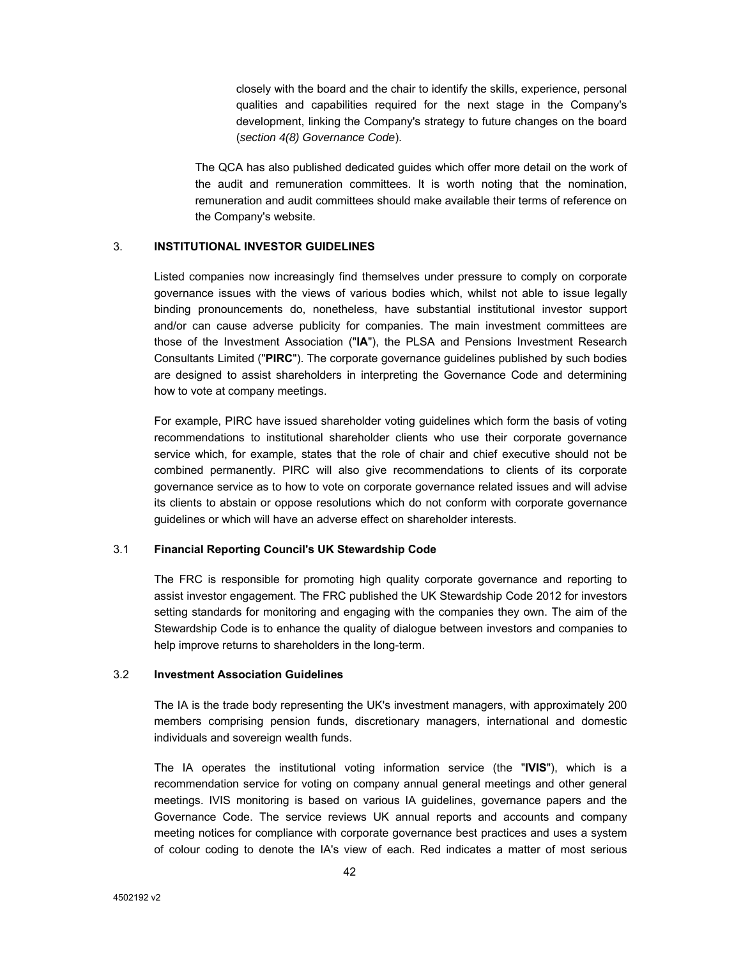closely with the board and the chair to identify the skills, experience, personal qualities and capabilities required for the next stage in the Company's development, linking the Company's strategy to future changes on the board (*section 4(8) Governance Code*).

The QCA has also published dedicated guides which offer more detail on the work of the audit and remuneration committees. It is worth noting that the nomination, remuneration and audit committees should make available their terms of reference on the Company's website.

# 3. **INSTITUTIONAL INVESTOR GUIDELINES**

Listed companies now increasingly find themselves under pressure to comply on corporate governance issues with the views of various bodies which, whilst not able to issue legally binding pronouncements do, nonetheless, have substantial institutional investor support and/or can cause adverse publicity for companies. The main investment committees are those of the Investment Association ("**IA**"), the PLSA and Pensions Investment Research Consultants Limited ("**PIRC**"). The corporate governance guidelines published by such bodies are designed to assist shareholders in interpreting the Governance Code and determining how to vote at company meetings.

For example, PIRC have issued shareholder voting guidelines which form the basis of voting recommendations to institutional shareholder clients who use their corporate governance service which, for example, states that the role of chair and chief executive should not be combined permanently. PIRC will also give recommendations to clients of its corporate governance service as to how to vote on corporate governance related issues and will advise its clients to abstain or oppose resolutions which do not conform with corporate governance guidelines or which will have an adverse effect on shareholder interests.

#### 3.1 **Financial Reporting Council's UK Stewardship Code**

The FRC is responsible for promoting high quality corporate governance and reporting to assist investor engagement. The FRC published the UK Stewardship Code 2012 for investors setting standards for monitoring and engaging with the companies they own. The aim of the Stewardship Code is to enhance the quality of dialogue between investors and companies to help improve returns to shareholders in the long-term.

#### 3.2 **Investment Association Guidelines**

The IA is the trade body representing the UK's investment managers, with approximately 200 members comprising pension funds, discretionary managers, international and domestic individuals and sovereign wealth funds.

The IA operates the institutional voting information service (the "**IVIS**"), which is a recommendation service for voting on company annual general meetings and other general meetings. IVIS monitoring is based on various IA guidelines, governance papers and the Governance Code. The service reviews UK annual reports and accounts and company meeting notices for compliance with corporate governance best practices and uses a system of colour coding to denote the IA's view of each. Red indicates a matter of most serious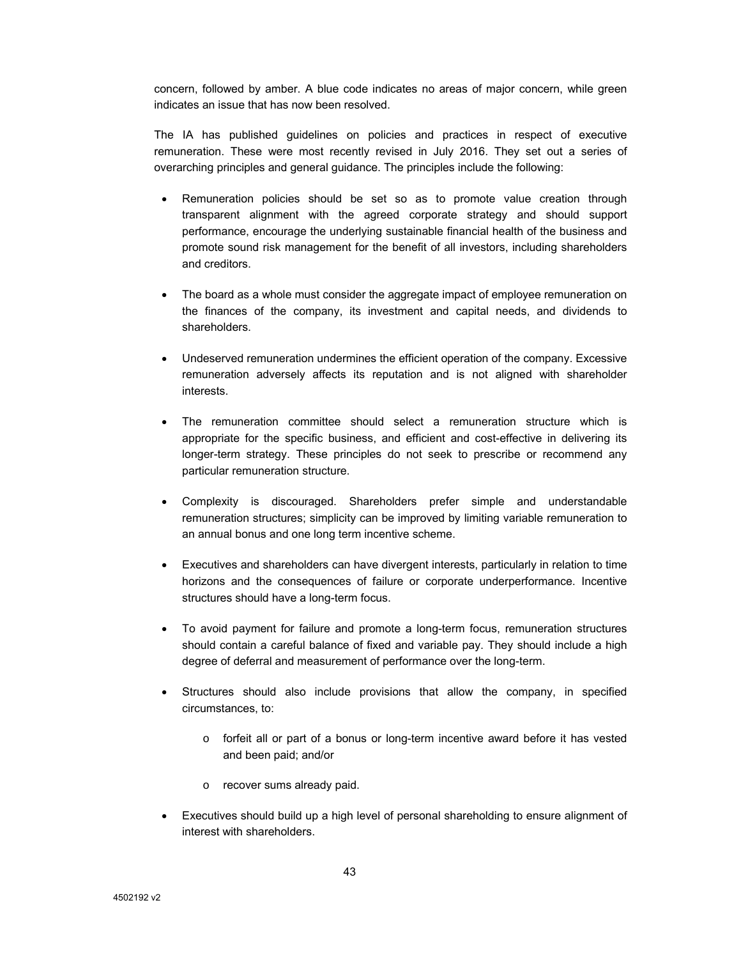concern, followed by amber. A blue code indicates no areas of major concern, while green indicates an issue that has now been resolved.

The IA has published guidelines on policies and practices in respect of executive remuneration. These were most recently revised in July 2016. They set out a series of overarching principles and general guidance. The principles include the following:

- Remuneration policies should be set so as to promote value creation through transparent alignment with the agreed corporate strategy and should support performance, encourage the underlying sustainable financial health of the business and promote sound risk management for the benefit of all investors, including shareholders and creditors.
- The board as a whole must consider the aggregate impact of employee remuneration on the finances of the company, its investment and capital needs, and dividends to shareholders.
- Undeserved remuneration undermines the efficient operation of the company. Excessive remuneration adversely affects its reputation and is not aligned with shareholder interests.
- The remuneration committee should select a remuneration structure which is appropriate for the specific business, and efficient and cost-effective in delivering its longer-term strategy. These principles do not seek to prescribe or recommend any particular remuneration structure.
- Complexity is discouraged. Shareholders prefer simple and understandable remuneration structures; simplicity can be improved by limiting variable remuneration to an annual bonus and one long term incentive scheme.
- Executives and shareholders can have divergent interests, particularly in relation to time horizons and the consequences of failure or corporate underperformance. Incentive structures should have a long-term focus.
- To avoid payment for failure and promote a long-term focus, remuneration structures should contain a careful balance of fixed and variable pay. They should include a high degree of deferral and measurement of performance over the long-term.
- Structures should also include provisions that allow the company, in specified circumstances, to:
	- o forfeit all or part of a bonus or long-term incentive award before it has vested and been paid; and/or
	- o recover sums already paid.
- Executives should build up a high level of personal shareholding to ensure alignment of interest with shareholders.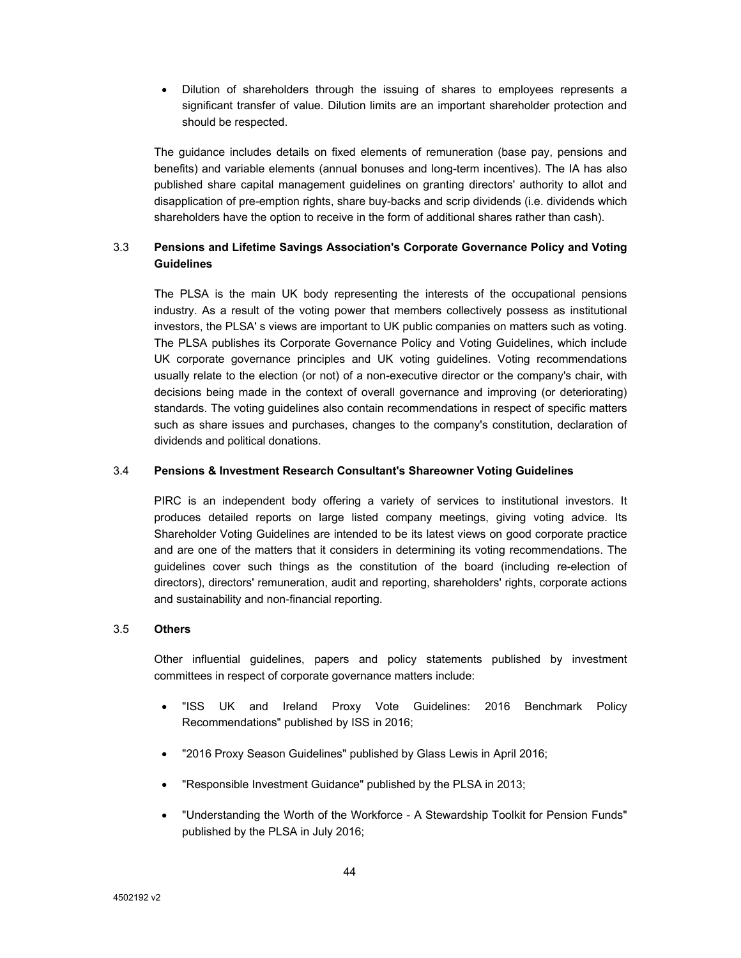• Dilution of shareholders through the issuing of shares to employees represents a significant transfer of value. Dilution limits are an important shareholder protection and should be respected.

The guidance includes details on fixed elements of remuneration (base pay, pensions and benefits) and variable elements (annual bonuses and long-term incentives). The IA has also published share capital management guidelines on granting directors' authority to allot and disapplication of pre-emption rights, share buy-backs and scrip dividends (i.e. dividends which shareholders have the option to receive in the form of additional shares rather than cash).

# 3.3 **Pensions and Lifetime Savings Association's Corporate Governance Policy and Voting Guidelines**

The PLSA is the main UK body representing the interests of the occupational pensions industry. As a result of the voting power that members collectively possess as institutional investors, the PLSA' s views are important to UK public companies on matters such as voting. The PLSA publishes its Corporate Governance Policy and Voting Guidelines, which include UK corporate governance principles and UK voting guidelines. Voting recommendations usually relate to the election (or not) of a non-executive director or the company's chair, with decisions being made in the context of overall governance and improving (or deteriorating) standards. The voting guidelines also contain recommendations in respect of specific matters such as share issues and purchases, changes to the company's constitution, declaration of dividends and political donations.

# 3.4 **Pensions & Investment Research Consultant's Shareowner Voting Guidelines**

PIRC is an independent body offering a variety of services to institutional investors. It produces detailed reports on large listed company meetings, giving voting advice. Its Shareholder Voting Guidelines are intended to be its latest views on good corporate practice and are one of the matters that it considers in determining its voting recommendations. The guidelines cover such things as the constitution of the board (including re-election of directors), directors' remuneration, audit and reporting, shareholders' rights, corporate actions and sustainability and non-financial reporting.

# 3.5 **Others**

Other influential guidelines, papers and policy statements published by investment committees in respect of corporate governance matters include:

- "ISS UK and Ireland Proxy Vote Guidelines: 2016 Benchmark Policy Recommendations" published by ISS in 2016;
- "2016 Proxy Season Guidelines" published by Glass Lewis in April 2016;
- "Responsible Investment Guidance" published by the PLSA in 2013;
- "Understanding the Worth of the Workforce A Stewardship Toolkit for Pension Funds" published by the PLSA in July 2016;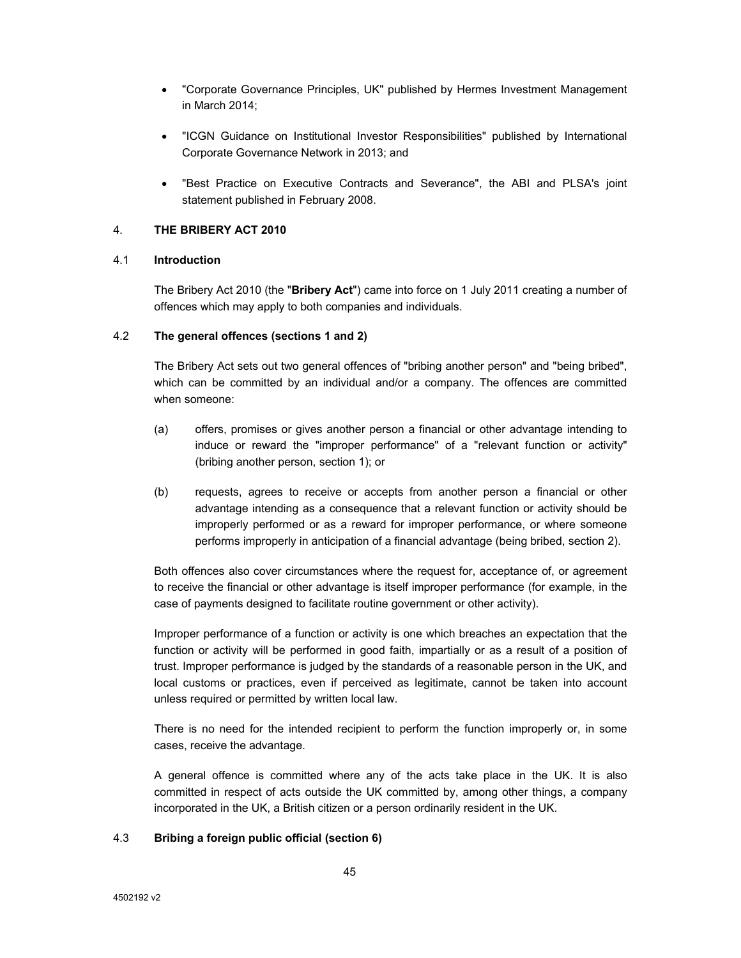- "Corporate Governance Principles, UK" published by Hermes Investment Management in March 2014;
- "ICGN Guidance on Institutional Investor Responsibilities" published by International Corporate Governance Network in 2013; and
- "Best Practice on Executive Contracts and Severance", the ABI and PLSA's joint statement published in February 2008.

# 4. **THE BRIBERY ACT 2010**

# 4.1 **Introduction**

The Bribery Act 2010 (the "**Bribery Act**") came into force on 1 July 2011 creating a number of offences which may apply to both companies and individuals.

# 4.2 **The general offences (sections 1 and 2)**

The Bribery Act sets out two general offences of "bribing another person" and "being bribed", which can be committed by an individual and/or a company. The offences are committed when someone:

- (a) offers, promises or gives another person a financial or other advantage intending to induce or reward the "improper performance" of a "relevant function or activity" (bribing another person, section 1); or
- (b) requests, agrees to receive or accepts from another person a financial or other advantage intending as a consequence that a relevant function or activity should be improperly performed or as a reward for improper performance, or where someone performs improperly in anticipation of a financial advantage (being bribed, section 2).

Both offences also cover circumstances where the request for, acceptance of, or agreement to receive the financial or other advantage is itself improper performance (for example, in the case of payments designed to facilitate routine government or other activity).

Improper performance of a function or activity is one which breaches an expectation that the function or activity will be performed in good faith, impartially or as a result of a position of trust. Improper performance is judged by the standards of a reasonable person in the UK, and local customs or practices, even if perceived as legitimate, cannot be taken into account unless required or permitted by written local law.

There is no need for the intended recipient to perform the function improperly or, in some cases, receive the advantage.

A general offence is committed where any of the acts take place in the UK. It is also committed in respect of acts outside the UK committed by, among other things, a company incorporated in the UK, a British citizen or a person ordinarily resident in the UK.

### 4.3 **Bribing a foreign public official (section 6)**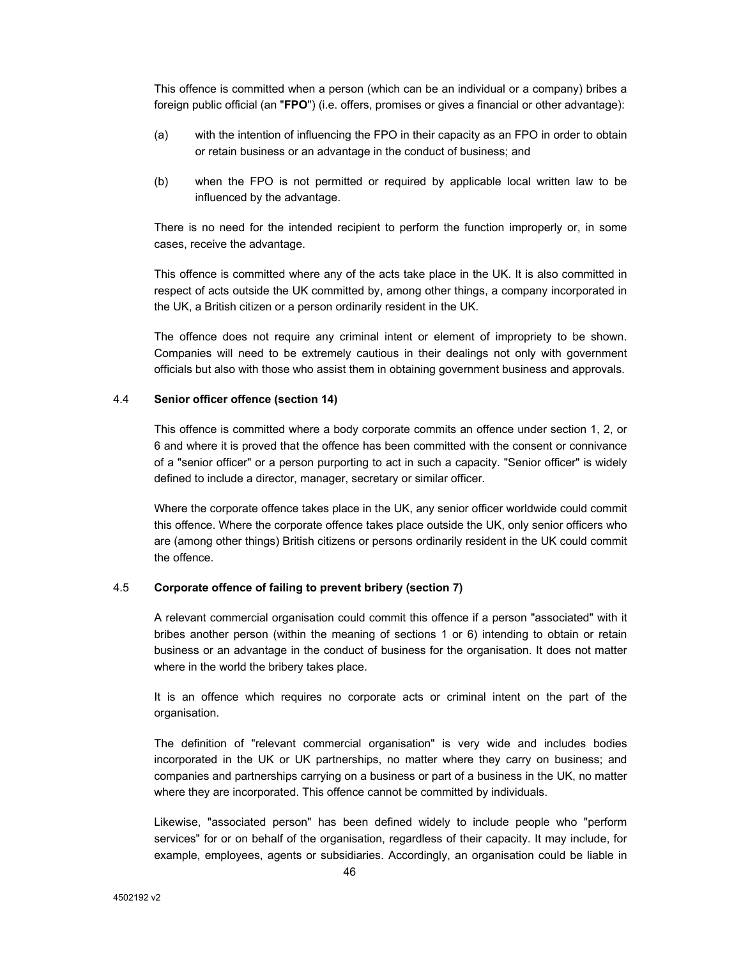This offence is committed when a person (which can be an individual or a company) bribes a foreign public official (an "**FPO**") (i.e. offers, promises or gives a financial or other advantage):

- (a) with the intention of influencing the FPO in their capacity as an FPO in order to obtain or retain business or an advantage in the conduct of business; and
- (b) when the FPO is not permitted or required by applicable local written law to be influenced by the advantage.

There is no need for the intended recipient to perform the function improperly or, in some cases, receive the advantage.

This offence is committed where any of the acts take place in the UK. It is also committed in respect of acts outside the UK committed by, among other things, a company incorporated in the UK, a British citizen or a person ordinarily resident in the UK.

The offence does not require any criminal intent or element of impropriety to be shown. Companies will need to be extremely cautious in their dealings not only with government officials but also with those who assist them in obtaining government business and approvals.

# 4.4 **Senior officer offence (section 14)**

This offence is committed where a body corporate commits an offence under section 1, 2, or 6 and where it is proved that the offence has been committed with the consent or connivance of a "senior officer" or a person purporting to act in such a capacity. "Senior officer" is widely defined to include a director, manager, secretary or similar officer.

Where the corporate offence takes place in the UK, any senior officer worldwide could commit this offence. Where the corporate offence takes place outside the UK, only senior officers who are (among other things) British citizens or persons ordinarily resident in the UK could commit the offence.

# 4.5 **Corporate offence of failing to prevent bribery (section 7)**

A relevant commercial organisation could commit this offence if a person "associated" with it bribes another person (within the meaning of sections 1 or 6) intending to obtain or retain business or an advantage in the conduct of business for the organisation. It does not matter where in the world the bribery takes place.

It is an offence which requires no corporate acts or criminal intent on the part of the organisation.

The definition of "relevant commercial organisation" is very wide and includes bodies incorporated in the UK or UK partnerships, no matter where they carry on business; and companies and partnerships carrying on a business or part of a business in the UK, no matter where they are incorporated. This offence cannot be committed by individuals.

Likewise, "associated person" has been defined widely to include people who "perform services" for or on behalf of the organisation, regardless of their capacity. It may include, for example, employees, agents or subsidiaries. Accordingly, an organisation could be liable in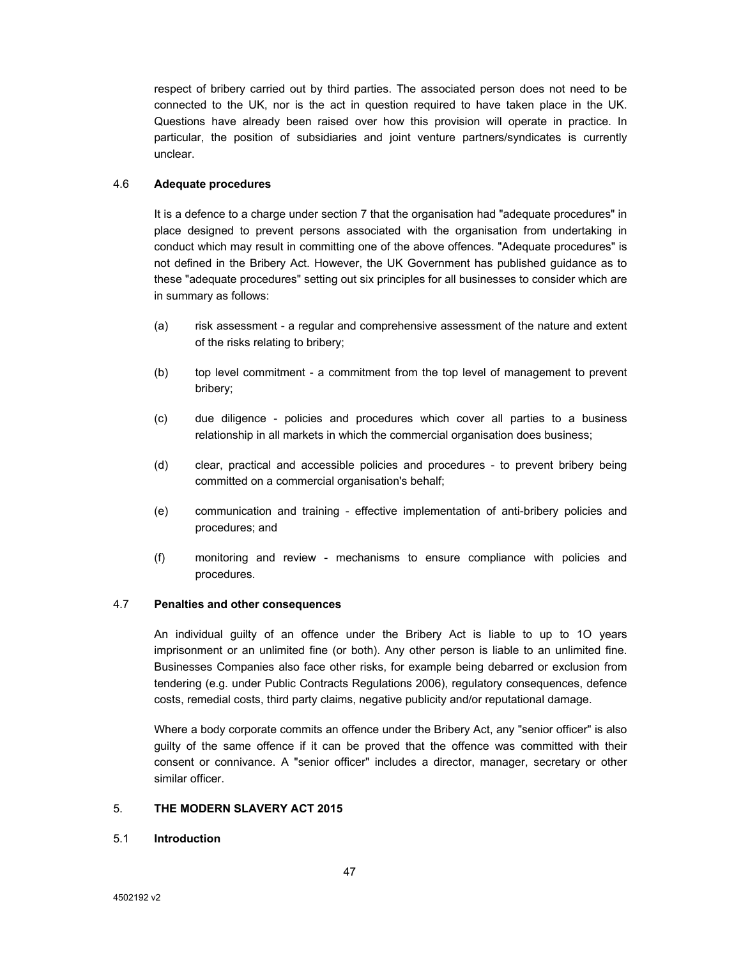respect of bribery carried out by third parties. The associated person does not need to be connected to the UK, nor is the act in question required to have taken place in the UK. Questions have already been raised over how this provision will operate in practice. In particular, the position of subsidiaries and joint venture partners/syndicates is currently unclear.

# 4.6 **Adequate procedures**

It is a defence to a charge under section 7 that the organisation had "adequate procedures" in place designed to prevent persons associated with the organisation from undertaking in conduct which may result in committing one of the above offences. "Adequate procedures" is not defined in the Bribery Act. However, the UK Government has published guidance as to these "adequate procedures" setting out six principles for all businesses to consider which are in summary as follows:

- (a) risk assessment a regular and comprehensive assessment of the nature and extent of the risks relating to bribery;
- (b) top level commitment a commitment from the top level of management to prevent bribery;
- (c) due diligence policies and procedures which cover all parties to a business relationship in all markets in which the commercial organisation does business;
- (d) clear, practical and accessible policies and procedures to prevent bribery being committed on a commercial organisation's behalf;
- (e) communication and training effective implementation of anti-bribery policies and procedures; and
- (f) monitoring and review mechanisms to ensure compliance with policies and procedures.

#### 4.7 **Penalties and other consequences**

An individual guilty of an offence under the Bribery Act is liable to up to 1O years imprisonment or an unlimited fine (or both). Any other person is liable to an unlimited fine. Businesses Companies also face other risks, for example being debarred or exclusion from tendering (e.g. under Public Contracts Regulations 2006), regulatory consequences, defence costs, remedial costs, third party claims, negative publicity and/or reputational damage.

Where a body corporate commits an offence under the Bribery Act, any "senior officer" is also guilty of the same offence if it can be proved that the offence was committed with their consent or connivance. A "senior officer" includes a director, manager, secretary or other similar officer.

# 5. **THE MODERN SLAVERY ACT 2015**

#### 5.1 **Introduction**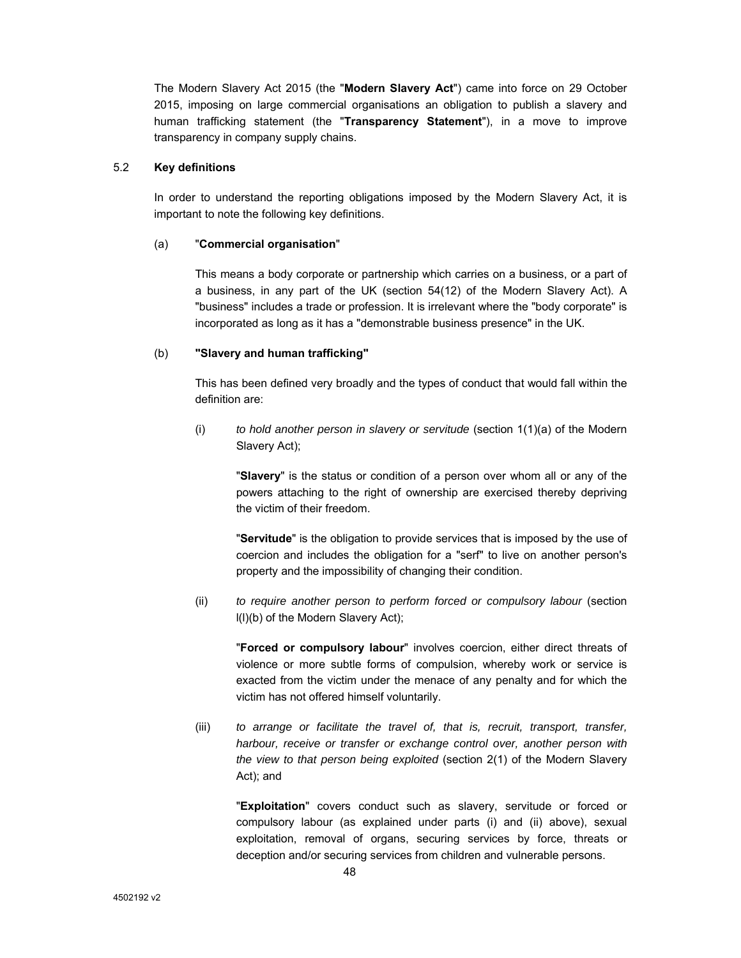The Modern Slavery Act 2015 (the "**Modern Slavery Act**") came into force on 29 October 2015, imposing on large commercial organisations an obligation to publish a slavery and human trafficking statement (the "**Transparency Statement**"), in a move to improve transparency in company supply chains.

# 5.2 **Key definitions**

In order to understand the reporting obligations imposed by the Modern Slavery Act, it is important to note the following key definitions.

#### (a) "**Commercial organisation**"

This means a body corporate or partnership which carries on a business, or a part of a business, in any part of the UK (section 54(12) of the Modern Slavery Act). A "business" includes a trade or profession. It is irrelevant where the "body corporate" is incorporated as long as it has a "demonstrable business presence" in the UK.

#### (b) **"Slavery and human trafficking"**

This has been defined very broadly and the types of conduct that would fall within the definition are:

(i) *to hold another person in slavery or servitude* (section 1(1)(a) of the Modern Slavery Act);

"**Slavery**" is the status or condition of a person over whom all or any of the powers attaching to the right of ownership are exercised thereby depriving the victim of their freedom.

"**Servitude**" is the obligation to provide services that is imposed by the use of coercion and includes the obligation for a "serf" to live on another person's property and the impossibility of changing their condition.

(ii) *to require another person to perform forced or compulsory labour* (section l(l)(b) of the Modern Slavery Act);

"**Forced or compulsory labour**" involves coercion, either direct threats of violence or more subtle forms of compulsion, whereby work or service is exacted from the victim under the menace of any penalty and for which the victim has not offered himself voluntarily.

(iii) *to arrange or facilitate the travel of, that is, recruit, transport, transfer, harbour, receive or transfer or exchange control over, another person with the view to that person being exploited* (section 2(1) of the Modern Slavery Act); and

"**Exploitation**" covers conduct such as slavery, servitude or forced or compulsory labour (as explained under parts (i) and (ii) above), sexual exploitation, removal of organs, securing services by force, threats or deception and/or securing services from children and vulnerable persons.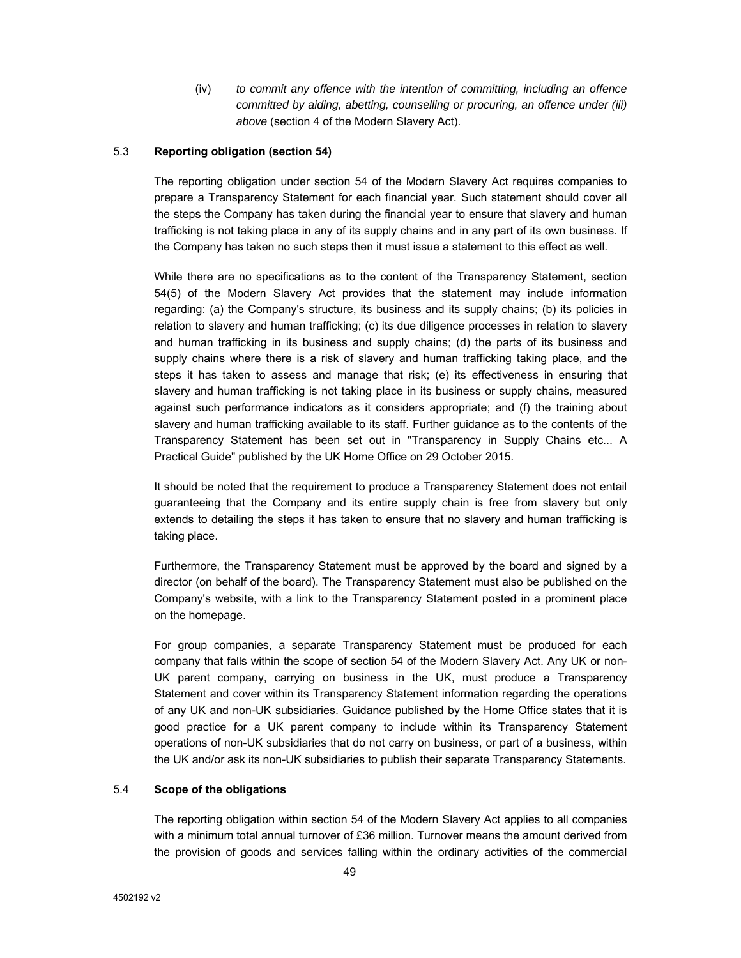(iv) *to commit any offence with the intention of committing, including an offence committed by aiding, abetting, counselling or procuring, an offence under (iii) above* (section 4 of the Modern Slavery Act).

# 5.3 **Reporting obligation (section 54)**

The reporting obligation under section 54 of the Modern Slavery Act requires companies to prepare a Transparency Statement for each financial year. Such statement should cover all the steps the Company has taken during the financial year to ensure that slavery and human trafficking is not taking place in any of its supply chains and in any part of its own business. If the Company has taken no such steps then it must issue a statement to this effect as well.

While there are no specifications as to the content of the Transparency Statement, section 54(5) of the Modern Slavery Act provides that the statement may include information regarding: (a) the Company's structure, its business and its supply chains; (b) its policies in relation to slavery and human trafficking; (c) its due diligence processes in relation to slavery and human trafficking in its business and supply chains; (d) the parts of its business and supply chains where there is a risk of slavery and human trafficking taking place, and the steps it has taken to assess and manage that risk; (e) its effectiveness in ensuring that slavery and human trafficking is not taking place in its business or supply chains, measured against such performance indicators as it considers appropriate; and (f) the training about slavery and human trafficking available to its staff. Further guidance as to the contents of the Transparency Statement has been set out in "Transparency in Supply Chains etc... A Practical Guide" published by the UK Home Office on 29 October 2015.

It should be noted that the requirement to produce a Transparency Statement does not entail guaranteeing that the Company and its entire supply chain is free from slavery but only extends to detailing the steps it has taken to ensure that no slavery and human trafficking is taking place.

Furthermore, the Transparency Statement must be approved by the board and signed by a director (on behalf of the board). The Transparency Statement must also be published on the Company's website, with a link to the Transparency Statement posted in a prominent place on the homepage.

For group companies, a separate Transparency Statement must be produced for each company that falls within the scope of section 54 of the Modern Slavery Act. Any UK or non-UK parent company, carrying on business in the UK, must produce a Transparency Statement and cover within its Transparency Statement information regarding the operations of any UK and non-UK subsidiaries. Guidance published by the Home Office states that it is good practice for a UK parent company to include within its Transparency Statement operations of non-UK subsidiaries that do not carry on business, or part of a business, within the UK and/or ask its non-UK subsidiaries to publish their separate Transparency Statements.

#### 5.4 **Scope of the obligations**

The reporting obligation within section 54 of the Modern Slavery Act applies to all companies with a minimum total annual turnover of £36 million. Turnover means the amount derived from the provision of goods and services falling within the ordinary activities of the commercial